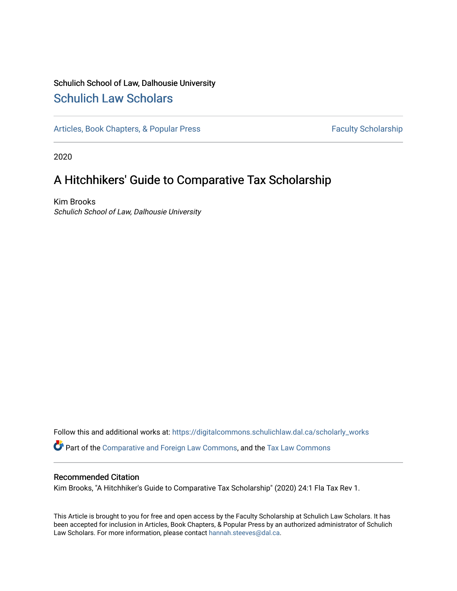## Schulich School of Law, Dalhousie University [Schulich Law Scholars](https://digitalcommons.schulichlaw.dal.ca/)

[Articles, Book Chapters, & Popular Press](https://digitalcommons.schulichlaw.dal.ca/scholarly_works) Faculty Scholarship

2020

# A Hitchhikers' Guide to Comparative Tax Scholarship

Kim Brooks Schulich School of Law, Dalhousie University

Follow this and additional works at: [https://digitalcommons.schulichlaw.dal.ca/scholarly\\_works](https://digitalcommons.schulichlaw.dal.ca/scholarly_works?utm_source=digitalcommons.schulichlaw.dal.ca%2Fscholarly_works%2F537&utm_medium=PDF&utm_campaign=PDFCoverPages)  Part of the [Comparative and Foreign Law Commons,](http://network.bepress.com/hgg/discipline/836?utm_source=digitalcommons.schulichlaw.dal.ca%2Fscholarly_works%2F537&utm_medium=PDF&utm_campaign=PDFCoverPages) and the [Tax Law Commons](http://network.bepress.com/hgg/discipline/898?utm_source=digitalcommons.schulichlaw.dal.ca%2Fscholarly_works%2F537&utm_medium=PDF&utm_campaign=PDFCoverPages)

#### Recommended Citation

Kim Brooks, "A Hitchhiker's Guide to Comparative Tax Scholarship" (2020) 24:1 Fla Tax Rev 1.

This Article is brought to you for free and open access by the Faculty Scholarship at Schulich Law Scholars. It has been accepted for inclusion in Articles, Book Chapters, & Popular Press by an authorized administrator of Schulich Law Scholars. For more information, please contact [hannah.steeves@dal.ca.](mailto:hannah.steeves@dal.ca)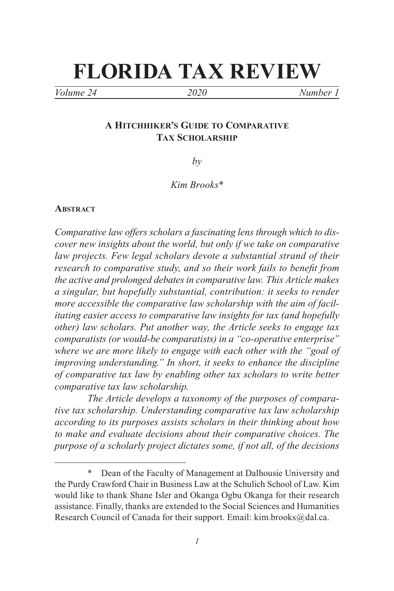# **FLORIDA TAX REVIEW**

*Volume 24 2020 Number 1*

### **A Hitchhiker's Guide to Comparative Tax Scholarship**

*by*

*Kim Brooks\**

#### **Abstract**

*Comparative law offers scholars a fascinating lens through which to discover new insights about the world, but only if we take on comparative law projects. Few legal scholars devote a substantial strand of their research to comparative study, and so their work fails to benefit from the active and prolonged debates in comparative law. This Article makes a singular, but hopefully substantial, contribution: it seeks to render more accessible the comparative law scholarship with the aim of facilitating easier access to comparative law insights for tax (and hopefully other) law scholars. Put another way, the Article seeks to engage tax comparatists (or would-be comparatists) in a "co-operative enterprise" where we are more likely to engage with each other with the "goal of improving understanding." In short, it seeks to enhance the discipline of comparative tax law by enabling other tax scholars to write better comparative tax law scholarship.*

*The Article develops a taxonomy of the purposes of comparative tax scholarship. Understanding comparative tax law scholarship according to its purposes assists scholars in their thinking about how to make and evaluate decisions about their comparative choices. The purpose of a scholarly project dictates some, if not all, of the decisions* 

Dean of the Faculty of Management at Dalhousie University and the Purdy Crawford Chair in Business Law at the Schulich School of Law. Kim would like to thank Shane Isler and Okanga Ogbu Okanga for their research assistance. Finally, thanks are extended to the Social Sciences and Humanities Research Council of Canada for their support. Email: kim.brooks@dal.ca.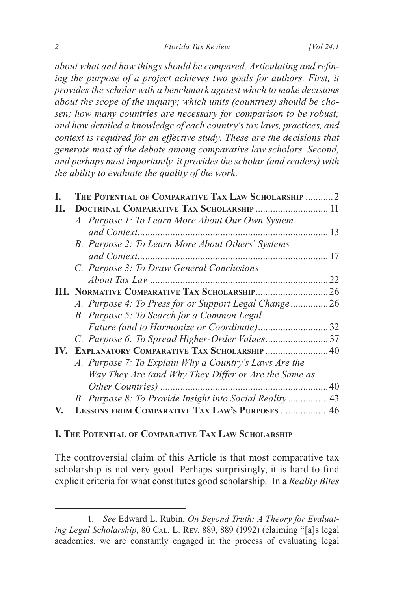*about what and how things should be compared. Articulating and refin*ing the purpose of a project achieves two goals for authors. First, it *provides the scholar with a benchmark against which to make decisions about the scope of the inquiry; which units (countries) should be chosen; how many countries are necessary for comparison to be robust; and how detailed a knowledge of each country's tax laws, practices, and context is required for an effective study. These are the decisions that generate most of the debate among comparative law scholars. Second, and perhaps most importantly, it provides the scholar (and readers) with the ability to evaluate the quality of the work.*

| L. | THE POTENTIAL OF COMPARATIVE TAX LAW SCHOLARSHIP  2     |    |
|----|---------------------------------------------------------|----|
| П. | DOCTRINAL COMPARATIVE TAX SCHOLARSHIP  11               |    |
|    | A. Purpose 1: To Learn More About Our Own System        |    |
|    |                                                         |    |
|    | B. Purpose 2: To Learn More About Others' Systems       |    |
|    |                                                         |    |
|    | C. Purpose 3: To Draw General Conclusions               |    |
|    |                                                         | 22 |
|    |                                                         |    |
|    | A. Purpose 4: To Press for or Support Legal Change26    |    |
|    | B. Purpose 5: To Search for a Common Legal              |    |
|    | Future (and to Harmonize or Coordinate)32               |    |
|    | C. Purpose 6: To Spread Higher-Order Values37           |    |
|    | IV. EXPLANATORY COMPARATIVE TAX SCHOLARSHIP 40          |    |
|    | A. Purpose 7: To Explain Why a Country's Laws Are the   |    |
|    | Way They Are (and Why They Differ or Are the Same as    |    |
|    |                                                         |    |
|    | B. Purpose 8: To Provide Insight into Social Reality 43 |    |
| V. | LESSONS FROM COMPARATIVE TAX LAW'S PURPOSES  46         |    |
|    |                                                         |    |

#### **I. The Potential of Comparative Tax Law Scholarship**

The controversial claim of this Article is that most comparative tax scholarship is not very good. Perhaps surprisingly, it is hard to find explicit criteria for what constitutes good scholarship.<sup>1</sup> In a *Reality Bites* 

<sup>1.</sup> *See* Edward L. Rubin, *On Beyond Truth: A Theory for Evaluat*ing Legal Scholarship, 80 CAL. L. REV. 889, 889 (1992) (claiming "[a]s legal academics, we are constantly engaged in the process of evaluating legal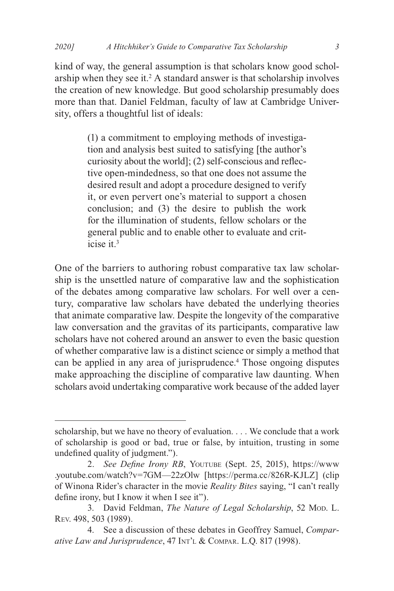kind of way, the general assumption is that scholars know good scholarship when they see it. $2$  A standard answer is that scholarship involves the creation of new knowledge. But good scholarship presumably does more than that. Daniel Feldman, faculty of law at Cambridge University, offers a thoughtful list of ideals:

> (1) a commitment to employing methods of investigation and analysis best suited to satisfying [the author's curiosity about the world]; (2) self-conscious and reflective open-mindedness, so that one does not assume the desired result and adopt a procedure designed to verify it, or even pervert one's material to support a chosen conclusion; and (3) the desire to publish the work for the illumination of students, fellow scholars or the general public and to enable other to evaluate and criticise it.3

One of the barriers to authoring robust comparative tax law scholarship is the unsettled nature of comparative law and the sophistication of the debates among comparative law scholars. For well over a century, comparative law scholars have debated the underlying theories that animate comparative law. Despite the longevity of the comparative law conversation and the gravitas of its participants, comparative law scholars have not cohered around an answer to even the basic question of whether comparative law is a distinct science or simply a method that can be applied in any area of jurisprudence.<sup>4</sup> Those ongoing disputes make approaching the discipline of comparative law daunting. When scholars avoid undertaking comparative work because of the added layer

scholarship, but we have no theory of evaluation. . . . We conclude that a work of scholarship is good or bad, true or false, by intuition, trusting in some undefined quality of judgment.").

<sup>2.</sup> *See Define Irony RB*, YOUTUBE (Sept. 25, 2015), https://www .youtube.com/watch?v=7GM—22zOlw [https://perma.cc/826R-KJLZ] (clip of Winona Rider's character in the movie *Reality Bites* saying, "I can't really define irony, but I know it when I see it").

<sup>3.</sup> David Feldman, *The Nature of Legal Scholarship*, 52 Mon. L. Rev. 498, 503 (1989).

<sup>4.</sup> See a discussion of these debates in Geoffrey Samuel, *Comparative Law and Jurisprudence*, 47 Int'l & Compar. L.Q. 817 (1998).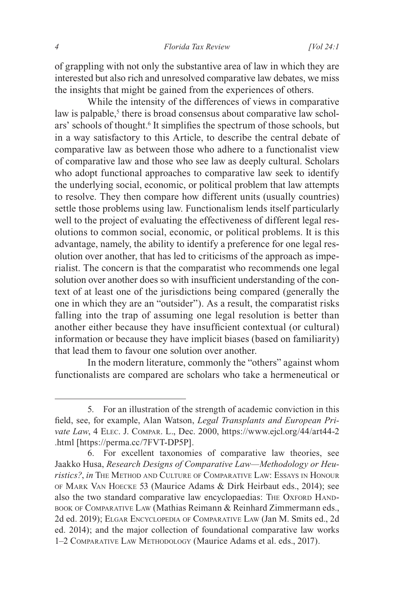of grappling with not only the substantive area of law in which they are interested but also rich and unresolved comparative law debates, we miss the insights that might be gained from the experiences of others.

While the intensity of the differences of views in comparative law is palpable,<sup>5</sup> there is broad consensus about comparative law scholars' schools of thought.<sup>6</sup> It simplifies the spectrum of those schools, but in a way satisfactory to this Article, to describe the central debate of comparative law as between those who adhere to a functionalist view of comparative law and those who see law as deeply cultural. Scholars who adopt functional approaches to comparative law seek to identify the underlying social, economic, or political problem that law attempts to resolve. They then compare how different units (usually countries) settle those problems using law. Functionalism lends itself particularly well to the project of evaluating the effectiveness of different legal resolutions to common social, economic, or political problems. It is this advantage, namely, the ability to identify a preference for one legal resolution over another, that has led to criticisms of the approach as imperialist. The concern is that the comparatist who recommends one legal solution over another does so with insufficient understanding of the context of at least one of the jurisdictions being compared (generally the one in which they are an "outsider"). As a result, the comparatist risks falling into the trap of assuming one legal resolution is better than another either because they have insufficient contextual (or cultural) information or because they have implicit biases (based on familiarity) that lead them to favour one solution over another.

In the modern literature, commonly the "others" against whom functionalists are compared are scholars who take a hermeneutical or

<sup>5.</sup> For an illustration of the strength of academic conviction in this field, see, for example, Alan Watson, *Legal Transplants and European Private Law*, 4 Elec. J. Compar. L., Dec. 2000, https://www.ejcl.org/44/art44-2 .html [https://perma.cc/7FVT-DP5P].

<sup>6.</sup> For excellent taxonomies of comparative law theories, see Jaakko Husa, *Research Designs of Comparative Law—Methodology or Heuristics?*, *in* The Method and Culture of Comparative Law: Essays in Honour of Mark Van Hoecke 53 (Maurice Adams & Dirk Heirbaut eds., 2014); see also the two standard comparative law encyclopaedias: THE OXFORD HANDbook of Comparative Law (Mathias Reimann & Reinhard Zimmermann eds., 2d ed. 2019); Elgar Encyclopedia of Comparative Law (Jan M. Smits ed., 2d ed. 2014); and the major collection of foundational comparative law works 1–2 Comparative Law Methodology (Maurice Adams et al. eds., 2017).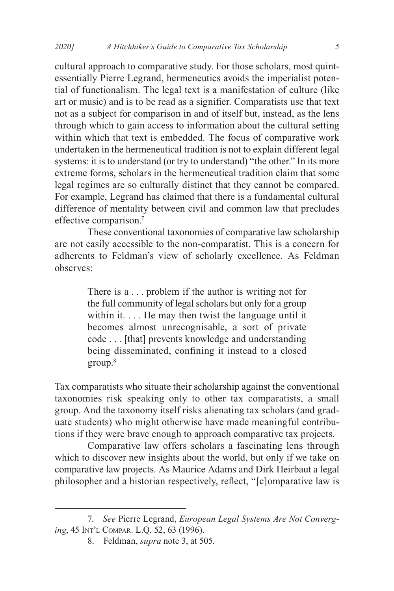cultural approach to comparative study. For those scholars, most quintessentially Pierre Legrand, hermeneutics avoids the imperialist potential of functionalism. The legal text is a manifestation of culture (like art or music) and is to be read as a signifier. Comparatists use that text not as a subject for comparison in and of itself but, instead, as the lens through which to gain access to information about the cultural setting within which that text is embedded. The focus of comparative work undertaken in the hermeneutical tradition is not to explain different legal systems: it is to understand (or try to understand) "the other." In its more extreme forms, scholars in the hermeneutical tradition claim that some legal regimes are so culturally distinct that they cannot be compared. For example, Legrand has claimed that there is a fundamental cultural difference of mentality between civil and common law that precludes effective comparison.7

These conventional taxonomies of comparative law scholarship are not easily accessible to the non-comparatist. This is a concern for adherents to Feldman's view of scholarly excellence. As Feldman observes:

> There is a . . . problem if the author is writing not for the full community of legal scholars but only for a group within it. . . . He may then twist the language until it becomes almost unrecognisable, a sort of private code . . . [that] prevents knowledge and understanding being disseminated, confining it instead to a closed group.8

Tax comparatists who situate their scholarship against the conventional taxonomies risk speaking only to other tax comparatists, a small group. And the taxonomy itself risks alienating tax scholars (and graduate students) who might otherwise have made meaningful contributions if they were brave enough to approach comparative tax projects.

Comparative law offers scholars a fascinating lens through which to discover new insights about the world, but only if we take on comparative law projects. As Maurice Adams and Dirk Heirbaut a legal philosopher and a historian respectively, reflect, "[c]omparative law is

<sup>7.</sup> *See* Pierre Legrand, *European Legal Systems Are Not Converging*, 45 Int'l Compar. L.Q. 52, 63 (1996).

<sup>8.</sup> Feldman, *supra* note 3, at 505.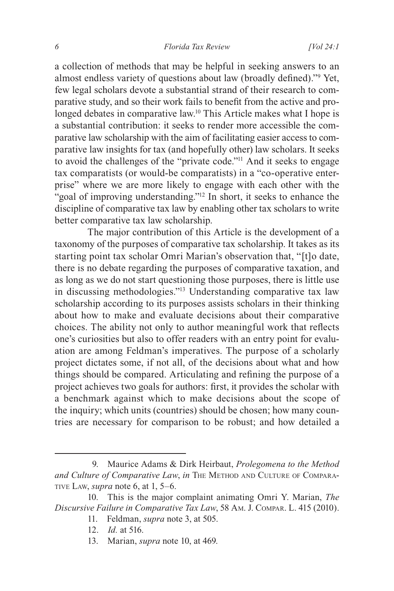a collection of methods that may be helpful in seeking answers to an almost endless variety of questions about law (broadly defined)."9 Yet, few legal scholars devote a substantial strand of their research to comparative study, and so their work fails to benefit from the active and prolonged debates in comparative law.<sup>10</sup> This Article makes what I hope is a substantial contribution: it seeks to render more accessible the comparative law scholarship with the aim of facilitating easier access to comparative law insights for tax (and hopefully other) law scholars. It seeks to avoid the challenges of the "private code."11 And it seeks to engage tax comparatists (or would-be comparatists) in a "co-operative enterprise" where we are more likely to engage with each other with the "goal of improving understanding."<sup>12</sup> In short, it seeks to enhance the discipline of comparative tax law by enabling other tax scholars to write better comparative tax law scholarship.

The major contribution of this Article is the development of a taxonomy of the purposes of comparative tax scholarship. It takes as its starting point tax scholar Omri Marian's observation that, "[t]o date, there is no debate regarding the purposes of comparative taxation, and as long as we do not start questioning those purposes, there is little use in discussing methodologies."13 Understanding comparative tax law scholarship according to its purposes assists scholars in their thinking about how to make and evaluate decisions about their comparative choices. The ability not only to author meaningful work that reflects one's curiosities but also to offer readers with an entry point for evaluation are among Feldman's imperatives. The purpose of a scholarly project dictates some, if not all, of the decisions about what and how things should be compared. Articulating and refining the purpose of a project achieves two goals for authors: first, it provides the scholar with a benchmark against which to make decisions about the scope of the inquiry; which units (countries) should be chosen; how many countries are necessary for comparison to be robust; and how detailed a

- 12. *Id.* at 516.
- 13. Marian, *supra* note 10, at 469.

<sup>9.</sup> Maurice Adams & Dirk Heirbaut, *Prolegomena to the Method*  and Culture of Comparative Law, in THE METHOD AND CULTURE OF COMPARAtive Law, *supra* note 6, at 1, 5–6.

<sup>10.</sup> This is the major complaint animating Omri Y. Marian, *The Discursive Failure in Comparative Tax Law*, 58 Am. J. Compar. L. 415 (2010).

<sup>11.</sup> Feldman, *supra* note 3, at 505.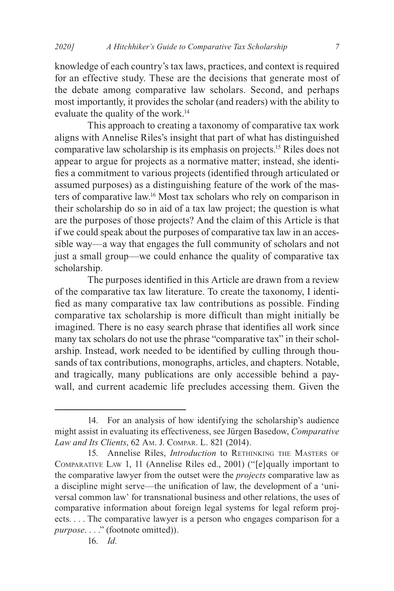knowledge of each country's tax laws, practices, and context is required for an effective study. These are the decisions that generate most of the debate among comparative law scholars. Second, and perhaps most importantly, it provides the scholar (and readers) with the ability to evaluate the quality of the work.<sup>14</sup>

This approach to creating a taxonomy of comparative tax work aligns with Annelise Riles's insight that part of what has distinguished comparative law scholarship is its emphasis on projects.15 Riles does not appear to argue for projects as a normative matter; instead, she identifies a commitment to various projects (identified through articulated or assumed purposes) as a distinguishing feature of the work of the masters of comparative law.16 Most tax scholars who rely on comparison in their scholarship do so in aid of a tax law project; the question is what are the purposes of those projects? And the claim of this Article is that if we could speak about the purposes of comparative tax law in an accessible way—a way that engages the full community of scholars and not just a small group—we could enhance the quality of comparative tax scholarship.

The purposes identified in this Article are drawn from a review of the comparative tax law literature. To create the taxonomy, I identified as many comparative tax law contributions as possible. Finding comparative tax scholarship is more difficult than might initially be imagined. There is no easy search phrase that identifies all work since many tax scholars do not use the phrase "comparative tax" in their scholarship. Instead, work needed to be identified by culling through thousands of tax contributions, monographs, articles, and chapters. Notable, and tragically, many publications are only accessible behind a paywall, and current academic life precludes accessing them. Given the

<sup>14.</sup> For an analysis of how identifying the scholarship's audience might assist in evaluating its effectiveness, see Jürgen Basedow, *Comparative Law and Its Clients*, 62 Am. J. Compar. L. 821 (2014).

<sup>15.</sup> Annelise Riles, *Introduction* to RETHINKING THE MASTERS OF Comparative Law 1, 11 (Annelise Riles ed., 2001) ("[e]qually important to the comparative lawyer from the outset were the *projects* comparative law as a discipline might serve—the unification of law, the development of a 'universal common law' for transnational business and other relations, the uses of comparative information about foreign legal systems for legal reform projects. . . . The comparative lawyer is a person who engages comparison for a *purpose*. . . ." (footnote omitted)).

<sup>16.</sup> *Id.*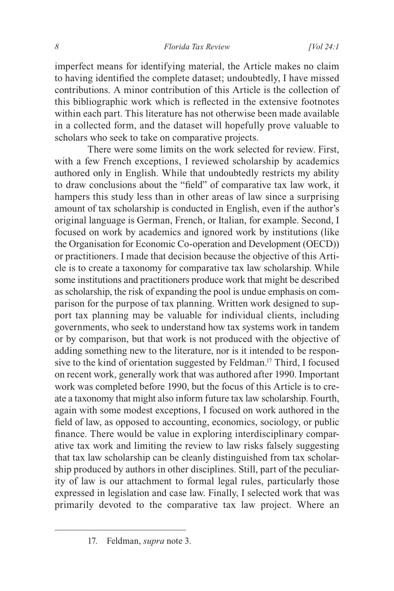imperfect means for identifying material, the Article makes no claim to having identified the complete dataset; undoubtedly, I have missed contributions. A minor contribution of this Article is the collection of this bibliographic work which is reflected in the extensive footnotes within each part. This literature has not otherwise been made available in a collected form, and the dataset will hopefully prove valuable to scholars who seek to take on comparative projects.

There were some limits on the work selected for review. First, with a few French exceptions, I reviewed scholarship by academics authored only in English. While that undoubtedly restricts my ability to draw conclusions about the "field" of comparative tax law work, it hampers this study less than in other areas of law since a surprising amount of tax scholarship is conducted in English, even if the author's original language is German, French, or Italian, for example. Second, I focused on work by academics and ignored work by institutions (like the Organisation for Economic Co-operation and Development (OECD)) or practitioners. I made that decision because the objective of this Article is to create a taxonomy for comparative tax law scholarship. While some institutions and practitioners produce work that might be described as scholarship, the risk of expanding the pool is undue emphasis on comparison for the purpose of tax planning. Written work designed to support tax planning may be valuable for individual clients, including governments, who seek to understand how tax systems work in tandem or by comparison, but that work is not produced with the objective of adding something new to the literature, nor is it intended to be responsive to the kind of orientation suggested by Feldman.17 Third, I focused on recent work, generally work that was authored after 1990. Important work was completed before 1990, but the focus of this Article is to create a taxonomy that might also inform future tax law scholarship. Fourth, again with some modest exceptions, I focused on work authored in the field of law, as opposed to accounting, economics, sociology, or public finance. There would be value in exploring interdisciplinary comparative tax work and limiting the review to law risks falsely suggesting that tax law scholarship can be cleanly distinguished from tax scholarship produced by authors in other disciplines. Still, part of the peculiarity of law is our attachment to formal legal rules, particularly those expressed in legislation and case law. Finally, I selected work that was primarily devoted to the comparative tax law project. Where an

<sup>17.</sup> Feldman, *supra* note 3.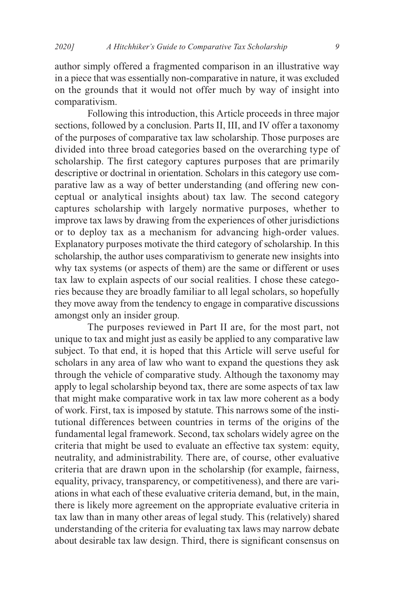author simply offered a fragmented comparison in an illustrative way in a piece that was essentially non-comparative in nature, it was excluded on the grounds that it would not offer much by way of insight into comparativism.

Following this introduction, this Article proceeds in three major sections, followed by a conclusion. Parts II, III, and IV offer a taxonomy of the purposes of comparative tax law scholarship. Those purposes are divided into three broad categories based on the overarching type of scholarship. The first category captures purposes that are primarily descriptive or doctrinal in orientation. Scholars in this category use comparative law as a way of better understanding (and offering new conceptual or analytical insights about) tax law. The second category captures scholarship with largely normative purposes, whether to improve tax laws by drawing from the experiences of other jurisdictions or to deploy tax as a mechanism for advancing high-order values. Explanatory purposes motivate the third category of scholarship. In this scholarship, the author uses comparativism to generate new insights into why tax systems (or aspects of them) are the same or different or uses tax law to explain aspects of our social realities. I chose these categories because they are broadly familiar to all legal scholars, so hopefully they move away from the tendency to engage in comparative discussions amongst only an insider group.

The purposes reviewed in Part II are, for the most part, not unique to tax and might just as easily be applied to any comparative law subject. To that end, it is hoped that this Article will serve useful for scholars in any area of law who want to expand the questions they ask through the vehicle of comparative study. Although the taxonomy may apply to legal scholarship beyond tax, there are some aspects of tax law that might make comparative work in tax law more coherent as a body of work. First, tax is imposed by statute. This narrows some of the institutional differences between countries in terms of the origins of the fundamental legal framework. Second, tax scholars widely agree on the criteria that might be used to evaluate an effective tax system: equity, neutrality, and administrability. There are, of course, other evaluative criteria that are drawn upon in the scholarship (for example, fairness, equality, privacy, transparency, or competitiveness), and there are variations in what each of these evaluative criteria demand, but, in the main, there is likely more agreement on the appropriate evaluative criteria in tax law than in many other areas of legal study. This (relatively) shared understanding of the criteria for evaluating tax laws may narrow debate about desirable tax law design. Third, there is significant consensus on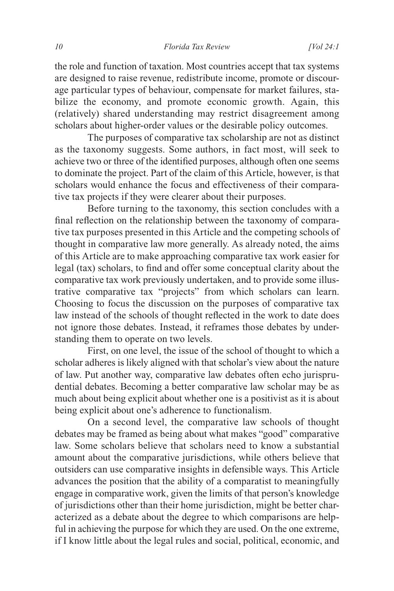the role and function of taxation. Most countries accept that tax systems are designed to raise revenue, redistribute income, promote or discourage particular types of behaviour, compensate for market failures, stabilize the economy, and promote economic growth. Again, this (relatively) shared understanding may restrict disagreement among scholars about higher-order values or the desirable policy outcomes.

The purposes of comparative tax scholarship are not as distinct as the taxonomy suggests. Some authors, in fact most, will seek to achieve two or three of the identified purposes, although often one seems to dominate the project. Part of the claim of this Article, however, is that scholars would enhance the focus and effectiveness of their comparative tax projects if they were clearer about their purposes.

Before turning to the taxonomy, this section concludes with a final reflection on the relationship between the taxonomy of comparative tax purposes presented in this Article and the competing schools of thought in comparative law more generally. As already noted, the aims of this Article are to make approaching comparative tax work easier for legal (tax) scholars, to find and offer some conceptual clarity about the comparative tax work previously undertaken, and to provide some illustrative comparative tax "projects" from which scholars can learn. Choosing to focus the discussion on the purposes of comparative tax law instead of the schools of thought reflected in the work to date does not ignore those debates. Instead, it reframes those debates by understanding them to operate on two levels.

First, on one level, the issue of the school of thought to which a scholar adheres is likely aligned with that scholar's view about the nature of law. Put another way, comparative law debates often echo jurisprudential debates. Becoming a better comparative law scholar may be as much about being explicit about whether one is a positivist as it is about being explicit about one's adherence to functionalism.

On a second level, the comparative law schools of thought debates may be framed as being about what makes "good" comparative law. Some scholars believe that scholars need to know a substantial amount about the comparative jurisdictions, while others believe that outsiders can use comparative insights in defensible ways. This Article advances the position that the ability of a comparatist to meaningfully engage in comparative work, given the limits of that person's knowledge of jurisdictions other than their home jurisdiction, might be better characterized as a debate about the degree to which comparisons are helpful in achieving the purpose for which they are used. On the one extreme, if I know little about the legal rules and social, political, economic, and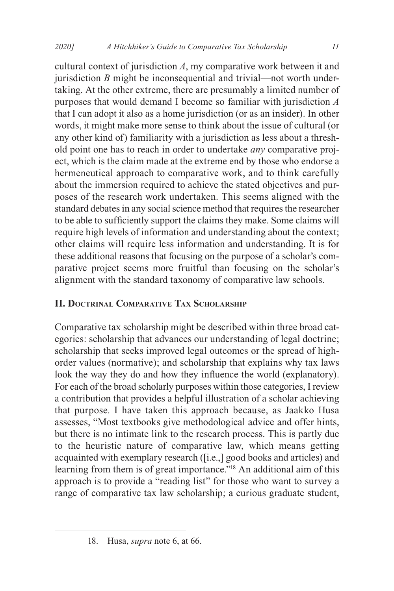cultural context of jurisdiction *A*, my comparative work between it and jurisdiction *B* might be inconsequential and trivial—not worth undertaking. At the other extreme, there are presumably a limited number of purposes that would demand I become so familiar with jurisdiction *A* that I can adopt it also as a home jurisdiction (or as an insider). In other words, it might make more sense to think about the issue of cultural (or any other kind of) familiarity with a jurisdiction as less about a threshold point one has to reach in order to undertake *any* comparative project, which is the claim made at the extreme end by those who endorse a hermeneutical approach to comparative work, and to think carefully about the immersion required to achieve the stated objectives and purposes of the research work undertaken. This seems aligned with the standard debates in any social science method that requires the researcher to be able to sufficiently support the claims they make. Some claims will require high levels of information and understanding about the context; other claims will require less information and understanding. It is for these additional reasons that focusing on the purpose of a scholar's comparative project seems more fruitful than focusing on the scholar's alignment with the standard taxonomy of comparative law schools.

### **II. Doctrinal Comparative Tax Scholarship**

Comparative tax scholarship might be described within three broad categories: scholarship that advances our understanding of legal doctrine; scholarship that seeks improved legal outcomes or the spread of highorder values (normative); and scholarship that explains why tax laws look the way they do and how they influence the world (explanatory). For each of the broad scholarly purposes within those categories, I review a contribution that provides a helpful illustration of a scholar achieving that purpose. I have taken this approach because, as Jaakko Husa assesses, "Most textbooks give methodological advice and offer hints, but there is no intimate link to the research process. This is partly due to the heuristic nature of comparative law, which means getting acquainted with exemplary research ([i.e.,] good books and articles) and learning from them is of great importance."18 An additional aim of this approach is to provide a "reading list" for those who want to survey a range of comparative tax law scholarship; a curious graduate student,

<sup>18.</sup> Husa, *supra* note 6, at 66.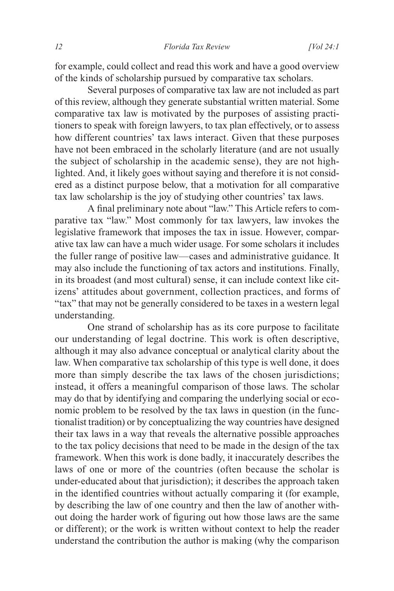for example, could collect and read this work and have a good overview of the kinds of scholarship pursued by comparative tax scholars.

Several purposes of comparative tax law are not included as part of this review, although they generate substantial written material. Some comparative tax law is motivated by the purposes of assisting practitioners to speak with foreign lawyers, to tax plan effectively, or to assess how different countries' tax laws interact. Given that these purposes have not been embraced in the scholarly literature (and are not usually the subject of scholarship in the academic sense), they are not highlighted. And, it likely goes without saying and therefore it is not considered as a distinct purpose below, that a motivation for all comparative tax law scholarship is the joy of studying other countries' tax laws.

A final preliminary note about "law." This Article refers to comparative tax "law." Most commonly for tax lawyers, law invokes the legislative framework that imposes the tax in issue. However, comparative tax law can have a much wider usage. For some scholars it includes the fuller range of positive law—cases and administrative guidance. It may also include the functioning of tax actors and institutions. Finally, in its broadest (and most cultural) sense, it can include context like citizens' attitudes about government, collection practices, and forms of "tax" that may not be generally considered to be taxes in a western legal understanding.

One strand of scholarship has as its core purpose to facilitate our understanding of legal doctrine. This work is often descriptive, although it may also advance conceptual or analytical clarity about the law. When comparative tax scholarship of this type is well done, it does more than simply describe the tax laws of the chosen jurisdictions; instead, it offers a meaningful comparison of those laws. The scholar may do that by identifying and comparing the underlying social or economic problem to be resolved by the tax laws in question (in the functionalist tradition) or by conceptualizing the way countries have designed their tax laws in a way that reveals the alternative possible approaches to the tax policy decisions that need to be made in the design of the tax framework. When this work is done badly, it inaccurately describes the laws of one or more of the countries (often because the scholar is under-educated about that jurisdiction); it describes the approach taken in the identified countries without actually comparing it (for example, by describing the law of one country and then the law of another without doing the harder work of figuring out how those laws are the same or different); or the work is written without context to help the reader understand the contribution the author is making (why the comparison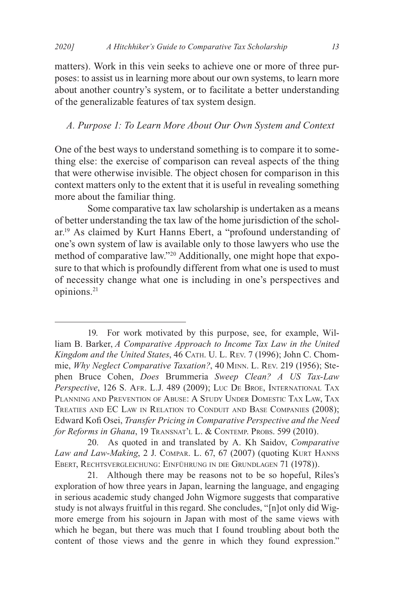matters). Work in this vein seeks to achieve one or more of three purposes: to assist us in learning more about our own systems, to learn more about another country's system, or to facilitate a better understanding of the generalizable features of tax system design.

#### *A. Purpose 1: To Learn More About Our Own System and Context*

One of the best ways to understand something is to compare it to something else: the exercise of comparison can reveal aspects of the thing that were otherwise invisible. The object chosen for comparison in this context matters only to the extent that it is useful in revealing something more about the familiar thing.

Some comparative tax law scholarship is undertaken as a means of better understanding the tax law of the home jurisdiction of the scholar.19 As claimed by Kurt Hanns Ebert, a "profound understanding of one's own system of law is available only to those lawyers who use the method of comparative law."20 Additionally, one might hope that exposure to that which is profoundly different from what one is used to must of necessity change what one is including in one's perspectives and opinions.21

20. As quoted in and translated by A. Kh Saidov, *Comparative Law and Law-Making*, 2 J. Compar. L. 67, 67 (2007) (quoting Kurt Hanns Ebert, Rechtsvergleichung: Einführung in die Grundlagen 71 (1978)).

21. Although there may be reasons not to be so hopeful, Riles's exploration of how three years in Japan, learning the language, and engaging in serious academic study changed John Wigmore suggests that comparative study is not always fruitful in this regard. She concludes, "[n]ot only did Wigmore emerge from his sojourn in Japan with most of the same views with which he began, but there was much that I found troubling about both the content of those views and the genre in which they found expression."

<sup>19.</sup> For work motivated by this purpose, see, for example, William B. Barker, *A Comparative Approach to Income Tax Law in the United Kingdom and the United States*, 46 Cath. U. L. Rev. 7 (1996); John C. Chommie, *Why Neglect Comparative Taxation?*, 40 Minn. L. Rev. 219 (1956); Stephen Bruce Cohen, *Does* Brummeria *Sweep Clean? A US Tax-Law Perspective*, 126 S. Afr. L.J. 489 (2009); Luc De Broe, International Tax Planning and Prevention of Abuse: A Study Under Domestic Tax Law, Tax Treaties and EC Law in Relation to Conduit and Base Companies (2008); Edward Kofi Osei, *Transfer Pricing in Comparative Perspective and the Need*  for Reforms in Ghana, 19 TRANSNAT'L L. & CONTEMP. PROBS. 599 (2010).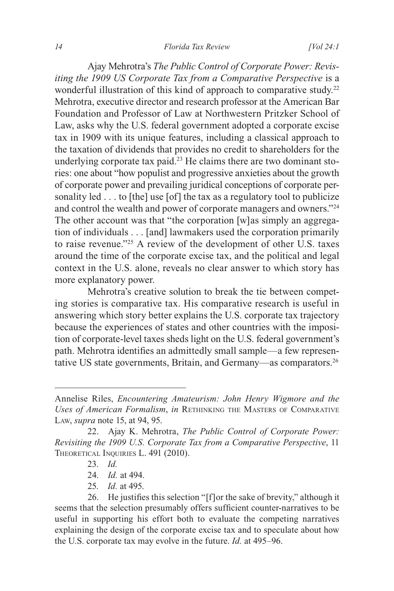Ajay Mehrotra's *The Public Control of Corporate Power: Revisiting the 1909 US Corporate Tax from a Comparative Perspective* is a wonderful illustration of this kind of approach to comparative study.<sup>22</sup> Mehrotra, executive director and research professor at the American Bar Foundation and Professor of Law at Northwestern Pritzker School of Law, asks why the U.S. federal government adopted a corporate excise tax in 1909 with its unique features, including a classical approach to the taxation of dividends that provides no credit to shareholders for the underlying corporate tax paid.23 He claims there are two dominant stories: one about "how populist and progressive anxieties about the growth of corporate power and prevailing juridical conceptions of corporate personality led . . . to [the] use [of] the tax as a regulatory tool to publicize and control the wealth and power of corporate managers and owners."24 The other account was that "the corporation [w]as simply an aggregation of individuals . . . [and] lawmakers used the corporation primarily to raise revenue."25 A review of the development of other U.S. taxes around the time of the corporate excise tax, and the political and legal context in the U.S. alone, reveals no clear answer to which story has more explanatory power.

Mehrotra's creative solution to break the tie between competing stories is comparative tax. His comparative research is useful in answering which story better explains the U.S. corporate tax trajectory because the experiences of states and other countries with the imposition of corporate-level taxes sheds light on the U.S. federal government's path. Mehrotra identifies an admittedly small sample—a few representative US state governments, Britain, and Germany—as comparators.26

25. *Id.* at 495.

Annelise Riles, *Encountering Amateurism: John Henry Wigmore and the Uses of American Formalism*, *in* Rethinking the Masters of Comparative Law, *supra* note 15, at 94, 95.

<sup>22.</sup> Ajay K. Mehrotra, *The Public Control of Corporate Power: Revisiting the 1909 U.S. Corporate Tax from a Comparative Perspective*, 11 THEORETICAL INQUIRIES L. 491 (2010).

<sup>23.</sup> *Id.*

<sup>24.</sup> *Id.* at 494.

<sup>26.</sup> He justifies this selection "[f]or the sake of brevity," although it seems that the selection presumably offers sufficient counter-narratives to be useful in supporting his effort both to evaluate the competing narratives explaining the design of the corporate excise tax and to speculate about how the U.S. corporate tax may evolve in the future. *Id.* at 495–96.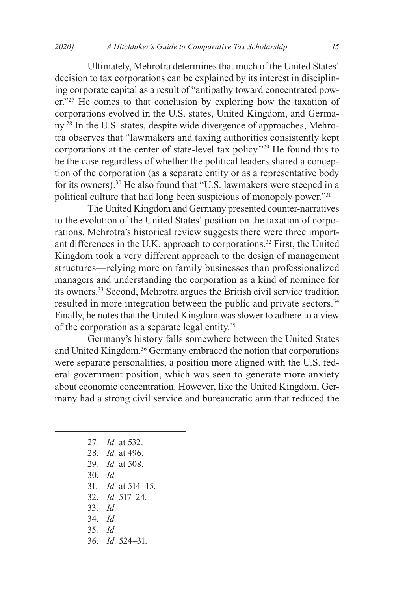Ultimately, Mehrotra determines that much of the United States' decision to tax corporations can be explained by its interest in disciplining corporate capital as a result of "antipathy toward concentrated power."<sup>27</sup> He comes to that conclusion by exploring how the taxation of corporations evolved in the U.S. states, United Kingdom, and Germany.28 In the U.S. states, despite wide divergence of approaches, Mehrotra observes that "lawmakers and taxing authorities consistently kept corporations at the center of state-level tax policy."29 He found this to be the case regardless of whether the political leaders shared a conception of the corporation (as a separate entity or as a representative body for its owners).30 He also found that "U.S. lawmakers were steeped in a political culture that had long been suspicious of monopoly power."31

The United Kingdom and Germany presented counter-narratives to the evolution of the United States' position on the taxation of corporations. Mehrotra's historical review suggests there were three important differences in the U.K. approach to corporations.32 First, the United Kingdom took a very different approach to the design of management structures—relying more on family businesses than professionalized managers and understanding the corporation as a kind of nominee for its owners.33 Second, Mehrotra argues the British civil service tradition resulted in more integration between the public and private sectors.<sup>34</sup> Finally, he notes that the United Kingdom was slower to adhere to a view of the corporation as a separate legal entity.35

Germany's history falls somewhere between the United States and United Kingdom.36 Germany embraced the notion that corporations were separate personalities, a position more aligned with the U.S. federal government position, which was seen to generate more anxiety about economic concentration. However, like the United Kingdom, Germany had a strong civil service and bureaucratic arm that reduced the

> 27. *Id.* at 532. 28. *Id.* at 496. 29. *Id.* at 508. 30. *Id.* 31. *Id.* at 514–15. 32. *Id.* 517–24. 33. *Id.* 34. *Id.* 35. *Id.* 36. *Id.* 524–31.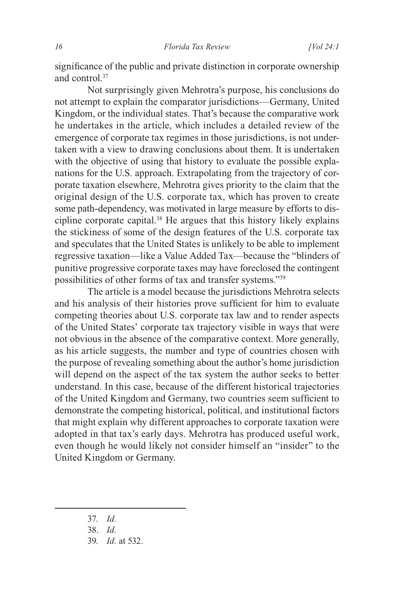significance of the public and private distinction in corporate ownership and control.37

Not surprisingly given Mehrotra's purpose, his conclusions do not attempt to explain the comparator jurisdictions—Germany, United Kingdom, or the individual states. That's because the comparative work he undertakes in the article, which includes a detailed review of the emergence of corporate tax regimes in those jurisdictions, is not undertaken with a view to drawing conclusions about them. It is undertaken with the objective of using that history to evaluate the possible explanations for the U.S. approach. Extrapolating from the trajectory of corporate taxation elsewhere, Mehrotra gives priority to the claim that the original design of the U.S. corporate tax, which has proven to create some path-dependency, was motivated in large measure by efforts to discipline corporate capital.38 He argues that this history likely explains the stickiness of some of the design features of the U.S. corporate tax and speculates that the United States is unlikely to be able to implement regressive taxation—like a Value Added Tax—because the "blinders of punitive progressive corporate taxes may have foreclosed the contingent possibilities of other forms of tax and transfer systems."39

The article is a model because the jurisdictions Mehrotra selects and his analysis of their histories prove sufficient for him to evaluate competing theories about U.S. corporate tax law and to render aspects of the United States' corporate tax trajectory visible in ways that were not obvious in the absence of the comparative context. More generally, as his article suggests, the number and type of countries chosen with the purpose of revealing something about the author's home jurisdiction will depend on the aspect of the tax system the author seeks to better understand. In this case, because of the different historical trajectories of the United Kingdom and Germany, two countries seem sufficient to demonstrate the competing historical, political, and institutional factors that might explain why different approaches to corporate taxation were adopted in that tax's early days. Mehrotra has produced useful work, even though he would likely not consider himself an "insider" to the United Kingdom or Germany.

- 37. *Id.*
- 38. *Id.*
- 39. *Id.* at 532.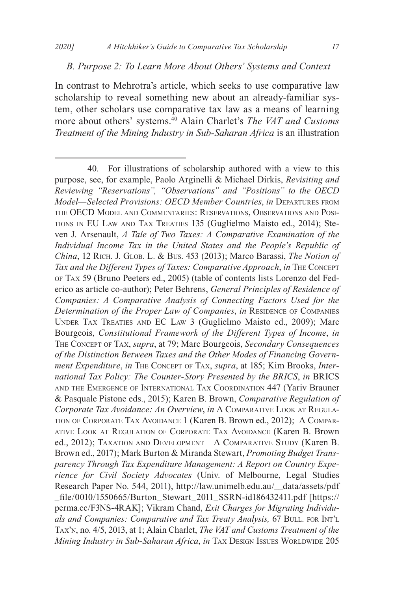#### *B. Purpose 2: To Learn More About Others' Systems and Context*

In contrast to Mehrotra's article, which seeks to use comparative law scholarship to reveal something new about an already-familiar system, other scholars use comparative tax law as a means of learning more about others' systems.40 Alain Charlet's *The VAT and Customs Treatment of the Mining Industry in Sub-Saharan Africa* is an illustration

<sup>40.</sup> For illustrations of scholarship authored with a view to this purpose, see, for example, Paolo Arginelli & Michael Dirkis, *Revisiting and Reviewing "Reservations", "Observations" and "Positions" to the OECD Model—Selected Provisions: OECD Member Countries*, *in* Departures from the OECD Model and Commentaries: Reservations, Observations and Positions in EU Law and Tax Treaties 135 (Guglielmo Maisto ed., 2014); Steven J. Arsenault, *A Tale of Two Taxes: A Comparative Examination of the Individual Income Tax in the United States and the People's Republic of China*, 12 Rich. J. Glob. L. & Bus. 453 (2013); Marco Barassi, *The Notion of Tax and the Different Types of Taxes: Comparative Approach*, *in* The Concept of Tax 59 (Bruno Peeters ed., 2005) (table of contents lists Lorenzo del Federico as article co-author); Peter Behrens, *General Principles of Residence of Companies: A Comparative Analysis of Connecting Factors Used for the Determination of the Proper Law of Companies, in RESIDENCE OF COMPANIES* Under Tax Treaties and EC Law 3 (Guglielmo Maisto ed., 2009); Marc Bourgeois, *Constitutional Framework of the Different Types of Income*, *in* The Concept of Tax, *supra*, at 79; Marc Bourgeois, *Secondary Consequences of the Distinction Between Taxes and the Other Modes of Financing Government Expenditure*, *in* The Concept of Tax, *supra*, at 185; Kim Brooks, *International Tax Policy: The Counter-Story Presented by the BRICS*, *in* BRICS and the Emergence of International Tax Coordination 447 (Yariv Brauner & Pasquale Pistone eds., 2015); Karen B. Brown, *Comparative Regulation of Corporate Tax Avoidance: An Overview*, *in* A Comparative Look at Regulation of Corporate Tax Avoidance 1 (Karen B. Brown ed., 2012);  A Comparative Look at Regulation of Corporate Tax Avoidance (Karen B. Brown ed., 2012); Taxation and Development—A Comparative Study (Karen B. Brown ed., 2017); Mark Burton & Miranda Stewart, *Promoting Budget Transparency Through Tax Expenditure Management: A Report on Country Experience for Civil Society Advocates* (Univ. of Melbourne, Legal Studies Research Paper No. 544, 2011), http://law.unimelb.edu.au/\_\_data/assets/pdf \_file/0010/1550665/Burton\_Stewart\_2011\_SSRN-id186432411.pdf [https:// perma.cc/F3NS-4RAK]; Vikram Chand, *Exit Charges for Migrating Individu*als and Companies: Comparative and Tax Treaty Analysis, 67 BULL. FOR INT'L Tax'n, no. 4/5, 2013, at 1; Alain Charlet, *The VAT and Customs Treatment of the Mining Industry in Sub-Saharan Africa, in TAX DESIGN ISSUES WORLDWIDE 205*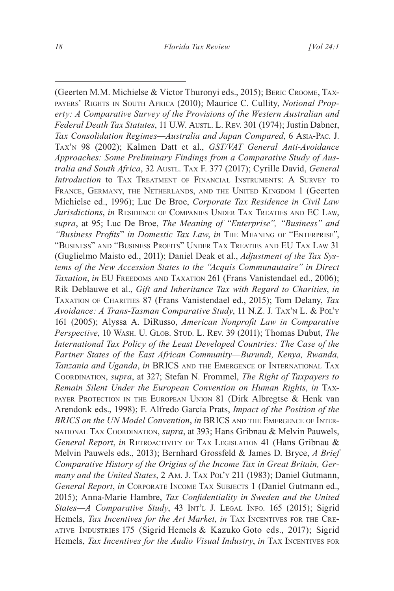(Geerten M.M. Michielse & Victor Thuronyi eds., 2015); Beric Croome, Taxpayers' Rights in South Africa (2010); Maurice C. Cullity, *Notional Property: A Comparative Survey of the Provisions of the Western Australian and Federal Death Tax Statutes*, 11 U.W. Austl. L. Rev. 301 (1974); Justin Dabner, *Tax Consolidation Regimes—Australia and Japan Compared*, 6 Asia-Pac. J. Tax'n 98 (2002); Kalmen Datt et al., *GST/VAT General Anti-Avoidance Approaches: Some Preliminary Findings from a Comparative Study of Australia and South Africa*, 32 Austl. TAX F. 377 (2017); Cyrille David, *General Introduction* to TAX TREATMENT OF FINANCIAL INSTRUMENTS: A SURVEY TO France, Germany, the Netherlands, and the United Kingdom 1 (Geerten Michielse ed., 1996); Luc De Broe, *Corporate Tax Residence in Civil Law Jurisdictions*, *in* RESIDENCE OF COMPANIES UNDER TAX TREATIES AND EC LAW, *supra*, at 95; Luc De Broe, *The Meaning of "Enterprise", "Business" and "Business Profits*" *in Domestic Tax Law*, *in* The Meaning of "Enterprise", "Business" and "Business Profits" Under Tax Treaties and EU Tax Law 31 (Guglielmo Maisto ed., 2011); Daniel Deak et al., *Adjustment of the Tax Systems of the New Accession States to the "Acquis Communautaire" in Direct Taxation*, *in* EU FREEDOMS AND TAXATION 261 (Frans Vanistendael ed., 2006); Rik Deblauwe et al., *Gift and Inheritance Tax with Regard to Charities*, *in* Taxation of Charities 87 (Frans Vanistendael ed., 2015); Tom Delany, *Tax Avoidance: A Trans-Tasman Comparative Study*, 11 N.Z. J. Tax'n L. & Pol'y 161 (2005); Alyssa A. DiRusso, *American Nonprofit Law in Comparative Perspective*, 10 WASH. U. GLOB. STUD. L. REV. 39 (2011); Thomas Dubut, The *International Tax Policy of the Least Developed Countries: The Case of the Partner States of the East African Community—Burundi, Kenya, Rwanda, Tanzania and Uganda*, *in* BRICS and the Emergence of International Tax Coordination, *supra*, at 327; Stefan N. Frommel, *The Right of Taxpayers to Remain Silent Under the European Convention on Human Rights*, *in* Taxpayer Protection in the European Union 81 (Dirk Albregtse & Henk van Arendonk eds., 1998); F. Alfredo García Prats, *Impact of the Position of the*  **BRICS on the UN Model Convention, in BRICS AND THE EMERGENCE OF INTER**national Tax Coordination, *supra*, at 393; Hans Gribnau & Melvin Pauwels, General Report, in RETROACTIVITY OF TAX LEGISLATION 41 (Hans Gribnau & Melvin Pauwels eds., 2013); Bernhard Grossfeld & James D. Bryce, *A Brief Comparative History of the Origins of the Income Tax in Great Britain, Ger*many and the United States, 2 Am. J. TAX PoL'y 211 (1983); Daniel Gutmann, General Report, in CORPORATE INCOME TAX SUBJECTS 1 (Daniel Gutmann ed., 2015); Anna-Marie Hambre, *Tax Confidentiality in Sweden and the United States—A Comparative Study*, 43 Int'l J. Legal Info. 165 (2015); Sigrid Hemels, *Tax Incentives for the Art Market*, *in* TAX INCENTIVES FOR THE CREative Industries 175 (Sigrid Hemels & Kazuko Goto eds., 2017); Sigrid Hemels, Tax Incentives for the Audio Visual Industry, in TAX INCENTIVES FOR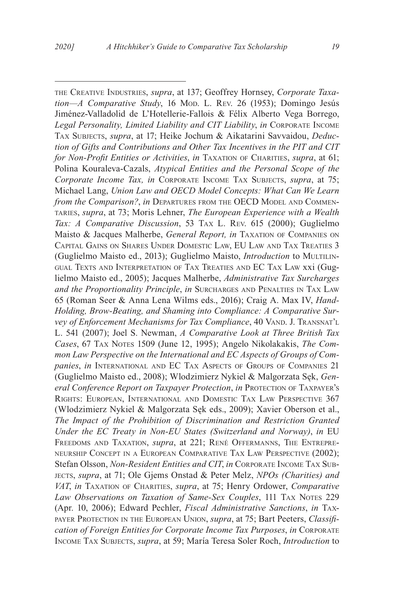the Creative Industries, *supra*, at 137; Geoffrey Hornsey, *Corporate Taxation—A Comparative Study*, 16 Mod. L. Rev. 26 (1953); Domingo Jesús Jiménez-Valladolid de L'Hotellerie-Fallois & Félix Alberto Vega Borrego, *Legal Personality, Limited Liability and CIT Liability*, *in* Corporate Income Tax Subjects, *supra*, at 17; Heike Jochum & Aikatarini Savvaidou, *Deduction of Gifts and Contributions and Other Tax Incentives in the PIT and CIT for Non-Profit Entities or Activities, in TAXATION OF CHARITIES, <i>supra*, at 61; Polina Kouraleva-Cazals, *Atypical Entities and the Personal Scope of the Corporate Income Tax, in* Corporate Income Tax Subjects, *supra*, at 75; Michael Lang, *Union Law and OECD Model Concepts: What Can We Learn from the Comparison?, in DEPARTURES FROM THE OECD MODEL AND COMMEN*taries, *supra*, at 73; Moris Lehner, *The European Experience with a Wealth Tax: A Comparative Discussion*, 53 Tax L. Rev. 615 (2000); Guglielmo Maisto & Jacques Malherbe, *General Report, in* TAXATION OF COMPANIES ON Capital Gains on Shares Under Domestic Law, EU Law and Tax Treaties 3 (Guglielmo Maisto ed., 2013); Guglielmo Maisto, *Introduction* to MULTILINgual Texts and Interpretation of Tax Treaties and EC Tax Law xxi (Guglielmo Maisto ed., 2005); Jacques Malherbe, *Administrative Tax Surcharges*  and the Proportionality Principle, in SURCHARGES AND PENALTIES IN TAX LAW 65 (Roman Seer & Anna Lena Wilms eds., 2016); Craig A. Max IV, *Hand-Holding, Brow-Beating, and Shaming into Compliance: A Comparative Survey of Enforcement Mechanisms for Tax Compliance*, 40 VAND. J. TRANSNAT'L L. 541 (2007); Joel S. Newman, *A Comparative Look at Three British Tax*  Cases, 67 TAX NOTES 1509 (June 12, 1995); Angelo Nikolakakis, *The Common Law Perspective on the International and EC Aspects of Groups of Companies*, *in* International and EC Tax Aspects of Groups of Companies 21 (Guglielmo Maisto ed., 2008); Wlodzimierz Nykiel & Malgorzata Sęk, *General Conference Report on Taxpayer Protection*, *in* Protection of Taxpayer's Rights: European, International and Domestic Tax Law Perspective 367 (Wlodzimierz Nykiel & Malgorzata Sęk eds., 2009); Xavier Oberson et al., *The Impact of the Prohibition of Discrimination and Restriction Granted Under the EC Treaty in Non-EU States (Switzerland and Norway)*, *in* EU Freedoms and Taxation, *supra*, at 221; René Offermanns, The Entrepreneurship Concept in <sup>a</sup> European Comparative Tax Law Perspective (2002); Stefan Olsson, *Non-Resident Entities and CIT*, *in* Corporate Income Tax Subjects, *supra*, at 71; Ole Gjems Onstad & Peter Melz, *NPOs (Charities) and VAT*, *in* Taxation of Charities, *supra*, at 75; Henry Ordower, *Comparative*  Law Observations on Taxation of Same-Sex Couples, 111 TAX NOTES 229 (Apr. 10, 2006); Edward Pechler, *Fiscal Administrative Sanctions*, *in* Taxpayer Protection in the European Union, *supra*, at 75; Bart Peeters, *Classification of Foreign Entities for Corporate Income Tax Purposes*, *in* Corporate Income Tax Subjects, *supra*, at 59; María Teresa Soler Roch, *Introduction* to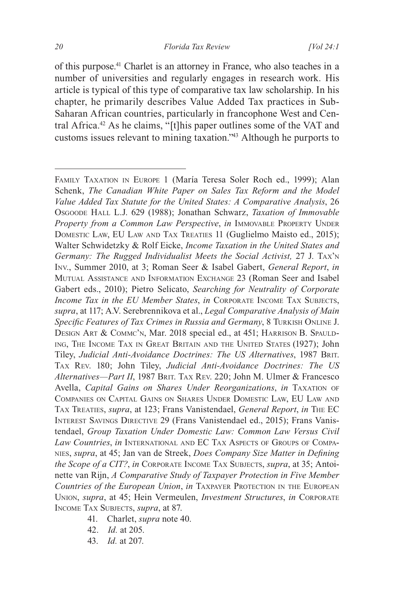of this purpose.41 Charlet is an attorney in France, who also teaches in a number of universities and regularly engages in research work. His article is typical of this type of comparative tax law scholarship. In his chapter, he primarily describes Value Added Tax practices in Sub-Saharan African countries, particularly in francophone West and Central Africa.42 As he claims, "[t]his paper outlines some of the VAT and customs issues relevant to mining taxation."43 Although he purports to

- 41. Charlet, *supra* note 40.
- 42. *Id.* at 205.
- 43. *Id.* at 207.

Family Taxation in Europe 1 (María Teresa Soler Roch ed., 1999); Alan Schenk, *The Canadian White Paper on Sales Tax Reform and the Model Value Added Tax Statute for the United States: A Comparative Analysis*, 26 Osgoode Hall L.J. 629 (1988); Jonathan Schwarz, *Taxation of Immovable Property from a Common Law Perspective, in IMMOVABLE PROPERTY UNDER* DOMESTIC LAW, EU LAW AND TAX TREATIES 11 (Guglielmo Maisto ed., 2015); Walter Schwidetzky & Rolf Eicke, *Income Taxation in the United States and Germany: The Rugged Individualist Meets the Social Activist,* 27 J. Tax'n Inv., Summer 2010, at 3; Roman Seer & Isabel Gabert, *General Report*, *in* Mutual Assistance and Information Exchange 23 (Roman Seer and Isabel Gabert eds., 2010); Pietro Selicato, *Searching for Neutrality of Corporate Income Tax in the EU Member States, in CORPORATE INCOME TAX SUBJECTS, supra*, at 117; A.V. Serebrennikova et al., *Legal Comparative Analysis of Main Specific Features of Tax Crimes in Russia and Germany*, 8 Turkish Online J. Design Art & Commc'n, Mar. 2018 special ed., at 451; Harrison B. Spaulding, The Income Tax in Great Britain and the United States (1927); John Tiley, *Judicial Anti-Avoidance Doctrines: The US Alternatives*, 1987 Brit. Tax Rev. 180; John Tiley, *Judicial Anti-Avoidance Doctrines: The US*  Alternatives-Part II, 1987 BRIT. TAX REV. 220; John M. Ulmer & Francesco Avella, *Capital Gains on Shares Under Reorganizations*, *in* Taxation of Companies on Capital Gains on Shares Under Domestic Law, EU Law and Tax Treaties, *supra*, at 123; Frans Vanistendael, *General Report*, *in* The EC Interest Savings Directive 29 (Frans Vanistendael ed., 2015); Frans Vanistendael, *Group Taxation Under Domestic Law: Common Law Versus Civil Law Countries*, *in* International and EC Tax Aspects of Groups of Companies, *supra*, at 45; Jan van de Streek, *Does Company Size Matter in Defining the Scope of a CIT?, in* CORPORATE INCOME TAX SUBJECTS, *supra*, at 35; Antoinette van Rijn, *A Comparative Study of Taxpayer Protection in Five Member*  Countries of the European Union, in TAXPAYER PROTECTION IN THE EUROPEAN Union, *supra*, at 45; Hein Vermeulen, *Investment Structures*, *in* Corporate Income Tax Subjects, *supra*, at 87.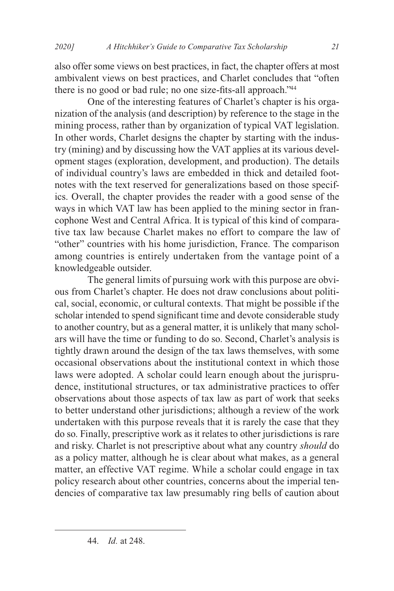also offer some views on best practices, in fact, the chapter offers at most ambivalent views on best practices, and Charlet concludes that "often there is no good or bad rule; no one size-fits-all approach."<sup>44</sup>

One of the interesting features of Charlet's chapter is his organization of the analysis (and description) by reference to the stage in the mining process, rather than by organization of typical VAT legislation. In other words, Charlet designs the chapter by starting with the industry (mining) and by discussing how the VAT applies at its various development stages (exploration, development, and production). The details of individual country's laws are embedded in thick and detailed footnotes with the text reserved for generalizations based on those specifics. Overall, the chapter provides the reader with a good sense of the ways in which VAT law has been applied to the mining sector in francophone West and Central Africa. It is typical of this kind of comparative tax law because Charlet makes no effort to compare the law of "other" countries with his home jurisdiction, France. The comparison among countries is entirely undertaken from the vantage point of a knowledgeable outsider.

The general limits of pursuing work with this purpose are obvious from Charlet's chapter. He does not draw conclusions about political, social, economic, or cultural contexts. That might be possible if the scholar intended to spend significant time and devote considerable study to another country, but as a general matter, it is unlikely that many scholars will have the time or funding to do so. Second, Charlet's analysis is tightly drawn around the design of the tax laws themselves, with some occasional observations about the institutional context in which those laws were adopted. A scholar could learn enough about the jurisprudence, institutional structures, or tax administrative practices to offer observations about those aspects of tax law as part of work that seeks to better understand other jurisdictions; although a review of the work undertaken with this purpose reveals that it is rarely the case that they do so. Finally, prescriptive work as it relates to other jurisdictions is rare and risky. Charlet is not prescriptive about what any country *should* do as a policy matter, although he is clear about what makes, as a general matter, an effective VAT regime. While a scholar could engage in tax policy research about other countries, concerns about the imperial tendencies of comparative tax law presumably ring bells of caution about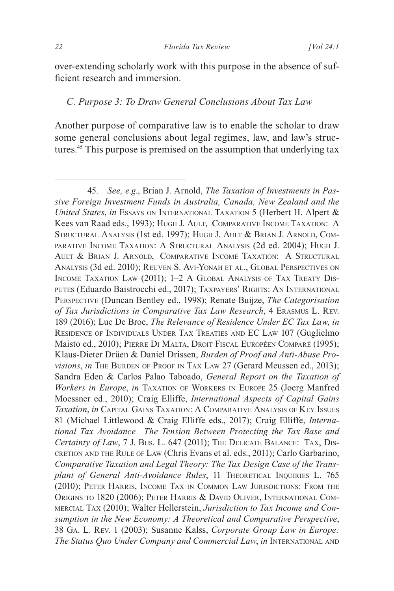over-extending scholarly work with this purpose in the absence of sufficient research and immersion.

#### *C. Purpose 3: To Draw General Conclusions About Tax Law*

Another purpose of comparative law is to enable the scholar to draw some general conclusions about legal regimes, law, and law's structures.45 This purpose is premised on the assumption that underlying tax

<sup>45.</sup> *See, e.g.*, Brian J. Arnold, *The Taxation of Investments in Passive Foreign Investment Funds in Australia, Canada, New Zealand and the United States*, *in* Essays on International Taxation 5 (Herbert H. Alpert & Kees van Raad eds., 1993); Hugh J. Ault, Comparative Income Taxation: A STRUCTURAL ANALYSIS (1st ed. 1997); HUGH J. AULT & BRIAN J. ARNOLD, COMparative Income Taxation: A Structural Analysis (2d ed. 2004); Hugh J. Ault & Brian J. Arnold, Comparative Income Taxation: A Structural Analysis (3d ed. 2010); Reuven S. Avi-Yonah et al., Global Perspectives on Income Taxation Law (2011); 1–2 A Global Analysis of Tax Treaty Disputes (Eduardo Baistrocchi ed., 2017); Taxpayers' Rights: An International Perspective (Duncan Bentley ed., 1998); Renate Buijze, *The Categorisation of Tax Jurisdictions in Comparative Tax Law Research*, 4 Erasmus L. Rev. 189 (2016); Luc De Broe, *The Relevance of Residence Under EC Tax Law*, *in* Residence of Individuals Under Tax Treaties and EC Law 107 (Guglielmo Maisto ed., 2010); Pierre Di Malta, Droit Fiscal Européen Comparé (1995); Klaus-Dieter Drüen & Daniel Drissen, *Burden of Proof and Anti-Abuse Provisions*, *in* THE BURDEN OF PROOF IN TAX LAW 27 (Gerard Meussen ed., 2013); Sandra Eden & Carlos Palao Taboado, *General Report on the Taxation of Workers in Europe*, *in* Taxation of Workers in Europe 25 (Joerg Manfred Moessner ed., 2010); Craig Elliffe, *International Aspects of Capital Gains Taxation*, *in* Capital Gains Taxation: A Comparative Analysis of Key Issues 81 (Michael Littlewood & Craig Elliffe eds., 2017); Craig Elliffe, *International Tax Avoidance—The Tension Between Protecting the Tax Base and Certainty of Law*, 7 J. Bus. L. 647 (2011); The Delicate Balance: Tax, Discretion and the Rule of Law (Chris Evans et al. eds., 2011); Carlo Garbarino, *Comparative Taxation and Legal Theory: The Tax Design Case of the Transplant of General Anti-Avoidance Rules*, 11 THEORETICAL INQUIRIES L. 765 (2010); Peter Harris, Income Tax in Common Law Jurisdictions: From the Origins to 1820 (2006); Peter Harris & David Oliver, International Commercial Tax (2010); Walter Hellerstein, *Jurisdiction to Tax Income and Consumption in the New Economy: A Theoretical and Comparative Perspective*, 38 Ga. L. Rev. 1 (2003); Susanne Kalss, *Corporate Group Law in Europe: The Status Quo Under Company and Commercial Law*, *in* International and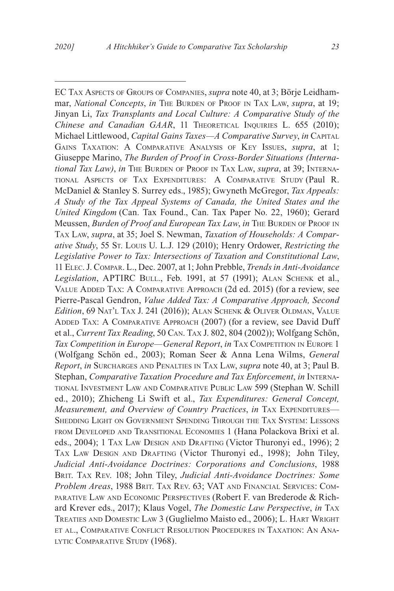EC Tax Aspects of Groups of Companies, *supra* note 40, at 3; Börje Leidhammar, *National Concepts*, *in* THE BURDEN OF PROOF IN TAX LAW, *supra*, at 19; Jinyan Li, *Tax Transplants and Local Culture: A Comparative Study of the Chinese and Canadian GAAR*, 11 THEORETICAL INQUIRIES L. 655 (2010); Michael Littlewood, *Capital Gains Taxes—A Comparative Survey*, *in* Capital Gains Taxation: A Comparative Analysis of Key Issues, *supra*, at 1; Giuseppe Marino, *The Burden of Proof in Cross-Border Situations (International Tax Law)*, *in* The BURDEN OF PROOF IN TAX LAW, *supra*, at 39; INTERNAtional Aspects of Tax Expenditures: A Comparative Study (Paul R. McDaniel & Stanley S. Surrey eds., 1985); Gwyneth McGregor, *Tax Appeals: A Study of the Tax Appeal Systems of Canada, the United States and the United Kingdom* (Can. Tax Found., Can. Tax Paper No. 22, 1960); Gerard Meussen, *Burden of Proof and European Tax Law*, *in* The BURDEN OF PROOF IN Tax Law, *supra*, at 35; Joel S. Newman, *Taxation of Households: A Comparative Study*, 55 St. Louis U. L.J. 129 (2010); Henry Ordower, *Restricting the Legislative Power to Tax: Intersections of Taxation and Constitutional Law*, 11 Elec. J. Compar. L., Dec. 2007, at 1; John Prebble, *Trends in Anti-Avoidance*  Legislation, APTIRC BULL., Feb. 1991, at 57 (1991); ALAN SCHENK et al., Value Added Tax: A Comparative Approach (2d ed. 2015) (for a review, see Pierre-Pascal Gendron, *Value Added Tax: A Comparative Approach, Second Edition*, 69 Nat'l Tax J. 241 (2016)); Alan Schenk & Oliver Oldman, Value Added Tax: A Comparative Approach (2007) (for a review, see David Duff et al., *Current Tax Reading*, 50 Can. Tax J. 802, 804 (2002)); Wolfgang Schön, *Tax Competition in Europe—General Report, in* TAX COMPETITION IN EUROPE 1 (Wolfgang Schön ed., 2003); Roman Seer & Anna Lena Wilms, *General Report*, *in* Surcharges and Penalties in Tax Law, *supra* note 40, at 3; Paul B. Stephan, *Comparative Taxation Procedure and Tax Enforcement*, *in* International Investment Law and Comparative Public Law 599 (Stephan W. Schill ed., 2010); Zhicheng Li Swift et al., *Tax Expenditures: General Concept, Measurement, and Overview of Country Practices, in TAX EXPENDITURES—* Shedding Light on Government Spending Through the Tax System: Lessons from Developed and Transitional Economies 1 (Hana Polackova Brixi et al. eds., 2004); 1 Tax Law Design and Drafting (Victor Thuronyi ed., 1996); 2 Tax Law Design and Drafting (Victor Thuronyi ed., 1998); John Tiley, *Judicial Anti-Avoidance Doctrines: Corporations and Conclusions*, 1988 Brit. Tax Rev. 108; John Tiley, *Judicial Anti-Avoidance Doctrines: Some Problem Areas*, 1988 Brit. Tax Rev. 63; VAT and Financial Services: Comparative Law and Economic Perspectives (Robert F. van Brederode & Richard Krever eds., 2017); Klaus Vogel, *The Domestic Law Perspective*, *in* Tax Treaties and Domestic Law 3 (Guglielmo Maisto ed., 2006); L. Hart Wright et al., Comparative Conflict Resolution Procedures in Taxation: An Ana-LYTIC COMPARATIVE STUDY (1968).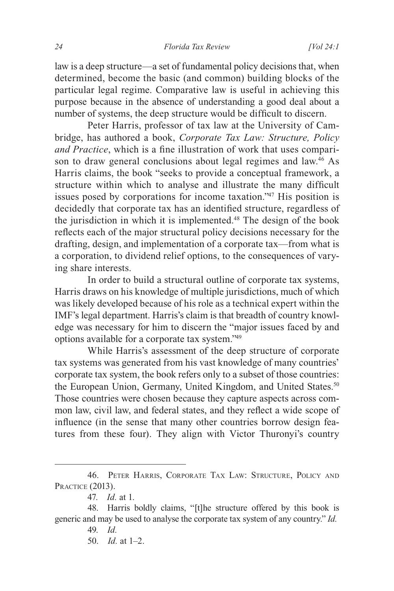law is a deep structure—a set of fundamental policy decisions that, when determined, become the basic (and common) building blocks of the particular legal regime. Comparative law is useful in achieving this purpose because in the absence of understanding a good deal about a number of systems, the deep structure would be difficult to discern.

Peter Harris, professor of tax law at the University of Cambridge, has authored a book, *Corporate Tax Law: Structure, Policy and Practice*, which is a fine illustration of work that uses comparison to draw general conclusions about legal regimes and law.<sup>46</sup> As Harris claims, the book "seeks to provide a conceptual framework, a structure within which to analyse and illustrate the many difficult issues posed by corporations for income taxation."47 His position is decidedly that corporate tax has an identified structure, regardless of the jurisdiction in which it is implemented.48 The design of the book reflects each of the major structural policy decisions necessary for the drafting, design, and implementation of a corporate tax—from what is a corporation, to dividend relief options, to the consequences of varying share interests.

In order to build a structural outline of corporate tax systems, Harris draws on his knowledge of multiple jurisdictions, much of which was likely developed because of his role as a technical expert within the IMF's legal department. Harris's claim is that breadth of country knowledge was necessary for him to discern the "major issues faced by and options available for a corporate tax system."49

While Harris's assessment of the deep structure of corporate tax systems was generated from his vast knowledge of many countries' corporate tax system, the book refers only to a subset of those countries: the European Union, Germany, United Kingdom, and United States.<sup>50</sup> Those countries were chosen because they capture aspects across common law, civil law, and federal states, and they reflect a wide scope of influence (in the sense that many other countries borrow design features from these four). They align with Victor Thuronyi's country

<sup>46.</sup> Peter Harris, Corporate Tax Law: Structure, Policy and Practice (2013).

<sup>47.</sup> *Id.* at 1.

<sup>48.</sup> Harris boldly claims, "[t]he structure offered by this book is generic and may be used to analyse the corporate tax system of any country." *Id.*

<sup>49.</sup> *Id.*

<sup>50.</sup> *Id.* at 1–2.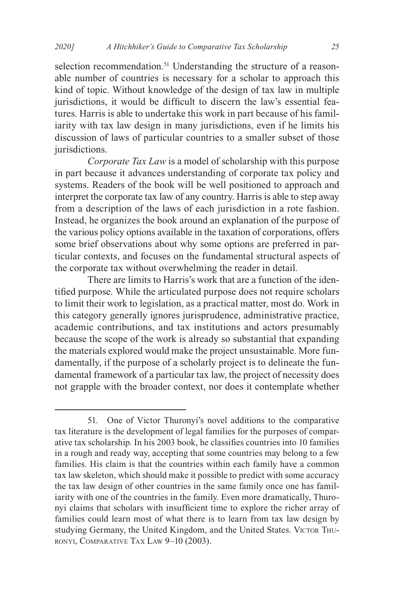selection recommendation.<sup>51</sup> Understanding the structure of a reasonable number of countries is necessary for a scholar to approach this kind of topic. Without knowledge of the design of tax law in multiple jurisdictions, it would be difficult to discern the law's essential features. Harris is able to undertake this work in part because of his familiarity with tax law design in many jurisdictions, even if he limits his discussion of laws of particular countries to a smaller subset of those jurisdictions.

*Corporate Tax Law* is a model of scholarship with this purpose in part because it advances understanding of corporate tax policy and systems. Readers of the book will be well positioned to approach and interpret the corporate tax law of any country. Harris is able to step away from a description of the laws of each jurisdiction in a rote fashion. Instead, he organizes the book around an explanation of the purpose of the various policy options available in the taxation of corporations, offers some brief observations about why some options are preferred in particular contexts, and focuses on the fundamental structural aspects of the corporate tax without overwhelming the reader in detail.

There are limits to Harris's work that are a function of the identified purpose. While the articulated purpose does not require scholars to limit their work to legislation, as a practical matter, most do. Work in this category generally ignores jurisprudence, administrative practice, academic contributions, and tax institutions and actors presumably because the scope of the work is already so substantial that expanding the materials explored would make the project unsustainable. More fundamentally, if the purpose of a scholarly project is to delineate the fundamental framework of a particular tax law, the project of necessity does not grapple with the broader context, nor does it contemplate whether

<sup>51.</sup> One of Victor Thuronyi's novel additions to the comparative tax literature is the development of legal families for the purposes of comparative tax scholarship. In his 2003 book, he classifies countries into 10 families in a rough and ready way, accepting that some countries may belong to a few families. His claim is that the countries within each family have a common tax law skeleton, which should make it possible to predict with some accuracy the tax law design of other countries in the same family once one has familiarity with one of the countries in the family. Even more dramatically, Thuronyi claims that scholars with insufficient time to explore the richer array of families could learn most of what there is to learn from tax law design by studying Germany, the United Kingdom, and the United States. VICTOR THU-RONYI, COMPARATIVE TAX LAW 9-10 (2003).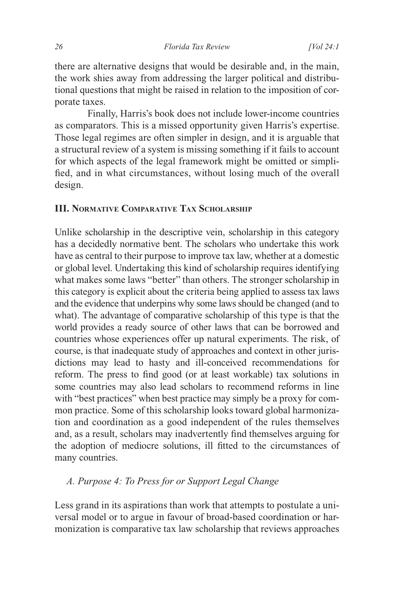there are alternative designs that would be desirable and, in the main, the work shies away from addressing the larger political and distributional questions that might be raised in relation to the imposition of corporate taxes.

Finally, Harris's book does not include lower-income countries as comparators. This is a missed opportunity given Harris's expertise. Those legal regimes are often simpler in design, and it is arguable that a structural review of a system is missing something if it fails to account for which aspects of the legal framework might be omitted or simplified, and in what circumstances, without losing much of the overall design.

#### **III. Normative Comparative Tax Scholarship**

Unlike scholarship in the descriptive vein, scholarship in this category has a decidedly normative bent. The scholars who undertake this work have as central to their purpose to improve tax law, whether at a domestic or global level. Undertaking this kind of scholarship requires identifying what makes some laws "better" than others. The stronger scholarship in this category is explicit about the criteria being applied to assess tax laws and the evidence that underpins why some laws should be changed (and to what). The advantage of comparative scholarship of this type is that the world provides a ready source of other laws that can be borrowed and countries whose experiences offer up natural experiments. The risk, of course, is that inadequate study of approaches and context in other jurisdictions may lead to hasty and ill-conceived recommendations for reform. The press to find good (or at least workable) tax solutions in some countries may also lead scholars to recommend reforms in line with "best practices" when best practice may simply be a proxy for common practice. Some of this scholarship looks toward global harmonization and coordination as a good independent of the rules themselves and, as a result, scholars may inadvertently find themselves arguing for the adoption of mediocre solutions, ill fitted to the circumstances of many countries.

#### *A. Purpose 4: To Press for or Support Legal Change*

Less grand in its aspirations than work that attempts to postulate a universal model or to argue in favour of broad-based coordination or harmonization is comparative tax law scholarship that reviews approaches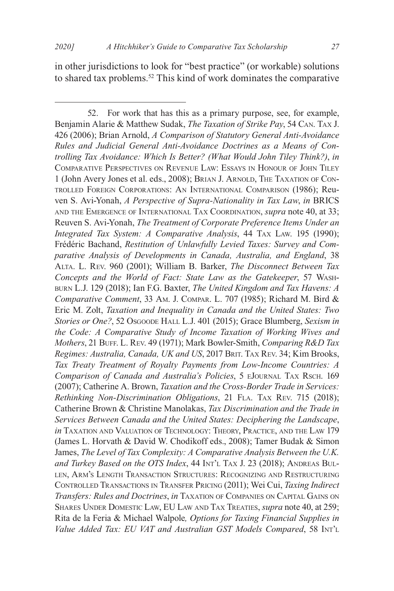in other jurisdictions to look for "best practice" (or workable) solutions to shared tax problems.52 This kind of work dominates the comparative

<sup>52.</sup> For work that has this as a primary purpose, see, for example, Benjamin Alarie & Matthew Sudak, *The Taxation of Strike Pay*, 54 Can. Tax J. 426 (2006); Brian Arnold, *A Comparison of Statutory General Anti-Avoidance Rules and Judicial General Anti-Avoidance Doctrines as a Means of Controlling Tax Avoidance: Which Is Better? (What Would John Tiley Think?)*, *in* Comparative Perspectives on Revenue Law: Essays in Honour of John Tiley 1 (John Avery Jones et al. eds., 2008); BRIAN J. ARNOLD, THE TAXATION OF CONtrolled Foreign Corporations: An International Comparison (1986); Reuven S. Avi-Yonah, *A Perspective of Supra-Nationality in Tax Law*, *in* BRICS and the Emergence of International Tax Coordination, *supra* note 40, at 33; Reuven S. Avi-Yonah, *The Treatment of Corporate Preference Items Under an Integrated Tax System: A Comparative Analysis*, 44 Tax Law. 195 (1990); Frédéric Bachand, *Restitution of Unlawfully Levied Taxes: Survey and Comparative Analysis of Developments in Canada, Australia, and England*, 38 Alta. L. Rev. 960 (2001); William B. Barker, *The Disconnect Between Tax Concepts and the World of Fact: State Law as the Gatekeeper*, 57 Washburn L.J. 129 (2018); Ian F.G. Baxter, *The United Kingdom and Tax Havens: A Comparative Comment*, 33 Am. J. Compar. L. 707 (1985); Richard M. Bird & Eric M. Zolt, *Taxation and Inequality in Canada and the United States: Two Stories or One?*, 52 Osgoode Hall L.J. 401 (2015); Grace Blumberg, *Sexism in the Code: A Comparative Study of Income Taxation of Working Wives and Mothers*, 21 BUFF. L. REV. 49 (1971); Mark Bowler-Smith, *Comparing R&D Tax Regimes: Australia, Canada, UK and US*, 2017 Brit. Tax Rev. 34; Kim Brooks, *Tax Treaty Treatment of Royalty Payments from Low-Income Countries: A Comparison of Canada and Australia's Policies*, 5 eJournal Tax Rsch. 169 (2007); Catherine A. Brown, *Taxation and the Cross-Border Trade in Services: Rethinking Non-Discrimination Obligations*, 21 Fla. Tax Rev. 715 (2018); Catherine Brown & Christine Manolakas, *Tax Discrimination and the Trade in Services Between Canada and the United States: Deciphering the Landscape*, *in* TAXATION AND VALUATION OF TECHNOLOGY: THEORY, PRACTICE, AND THE LAW 179 (James L. Horvath & David W. Chodikoff eds., 2008); Tamer Budak & Simon James, *The Level of Tax Complexity: A Comparative Analysis Between the U.K.*  and Turkey Based on the OTS Index, 44 Int't TAX J. 23 (2018); ANDREAS BULlen, Arm's Length Transaction Structures: Recognizing and Restructuring Controlled Transactions in Transfer Pricing (2011); Wei Cui, *Taxing Indirect Transfers: Rules and Doctrines*, *in* Taxation of Companies on Capital Gains on Shares Under Domestic Law, EU Law and Tax Treaties, *supra* note 40, at 259; Rita de la Feria & Michael Walpole*, Options for Taxing Financial Supplies in Value Added Tax: EU VAT and Australian GST Models Compared*, 58 Int'l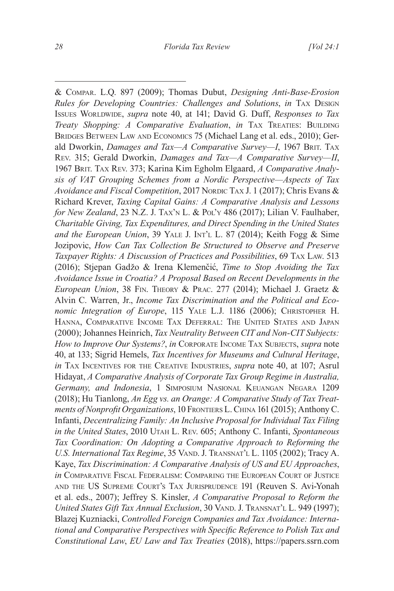& Compar. L.Q. 897 (2009); Thomas Dubut, *Designing Anti-Base-Erosion Rules for Developing Countries: Challenges and Solutions*, *in* Tax Design ISSUES WORLDWIDE, *supra* note 40, at 141; David G. Duff, *Responses to Tax Treaty Shopping: A Comparative Evaluation, in* TAX TREATIES: BUILDING Bridges Between Law and Economics 75 (Michael Lang et al. eds., 2010); Gerald Dworkin, *Damages and Tax—A Comparative Survey—I*, 1967 BRIT. TAX Rev. 315; Gerald Dworkin, *Damages and Tax—A Comparative Survey—II*, 1967 Brit. Tax Rev. 373; Karina Kim Egholm Elgaard, *A Comparative Analysis of VAT Grouping Schemes from a Nordic Perspective—Aspects of Tax Avoidance and Fiscal Competition*, 2017 Nordic TAX J. 1 (2017); Chris Evans & Richard Krever, *Taxing Capital Gains: A Comparative Analysis and Lessons for New Zealand*, 23 N.Z. J. TAX'N L. & Pol'y 486 (2017); Lilian V. Faulhaber, *Charitable Giving, Tax Expenditures, and Direct Spending in the United States and the European Union*, 39 YALE J. INT'L L. 87 (2014); Keith Fogg & Sime Jozipovic, *How Can Tax Collection Be Structured to Observe and Preserve Taxpayer Rights: A Discussion of Practices and Possibilities*, 69 Tax Law. 513 (2016); Stjepan Gadžo & Irena Klemenčić, *Time to Stop Avoiding the Tax Avoidance Issue in Croatia? A Proposal Based on Recent Developments in the European Union*, 38 Fin. Theory & Prac. 277 (2014); Michael J. Graetz & Alvin C. Warren, Jr., *Income Tax Discrimination and the Political and Economic Integration of Europe*, 115 YALE L.J. 1186 (2006); CHRISTOPHER H. Hanna, Comparative Income Tax Deferral: The United States and Japan (2000); Johannes Heinrich, *Tax Neutrality Between CIT and Non-CIT Subjects: How to Improve Our Systems?*, *in* Corporate Income Tax Subjects, *supra* note 40, at 133; Sigrid Hemels, *Tax Incentives for Museums and Cultural Heritage*, *in* TAX INCENTIVES FOR THE CREATIVE INDUSTRIES, *supra* note 40, at 107; Asrul Hidayat, *A Comparative Analysis of Corporate Tax Group Regime in Australia, Germany, and Indonesia*, 1 Simposium Nasional Keuangan Negara 1209 (2018); Hu Tianlong, *An Egg vs. an Orange: A Comparative Study of Tax Treatments of Nonprofit Organizations*, 10 FRONTIERS L. CHINA 161 (2015); Anthony C. Infanti, *Decentralizing Family: An Inclusive Proposal for Individual Tax Filing in the United States*, 2010 Utah L. Rev. 605; Anthony C. Infanti, *Spontaneous Tax Coordination: On Adopting a Comparative Approach to Reforming the U.S. International Tax Regime, 35 VAND. J. TRANSNAT'L L. 1105 (2002); Tracy A.* Kaye, *Tax Discrimination: A Comparative Analysis of US and EU Approaches*, *in* Comparative Fiscal Federalism: Comparing the European Court of Justice and the US Supreme Court's Tax Jurisprudence 191 (Reuven S. Avi-Yonah et al. eds., 2007); Jeffrey S. Kinsler, *A Comparative Proposal to Reform the United States Gift Tax Annual Exclusion*, 30 VAND. J. TRANSNAT'L L. 949 (1997); Blazej Kuzniacki, *Controlled Foreign Companies and Tax Avoidance: International and Comparative Perspectives with Specific Reference to Polish Tax and Constitutional Law*, *EU Law and Tax Treaties* (2018), https://papers.ssrn.com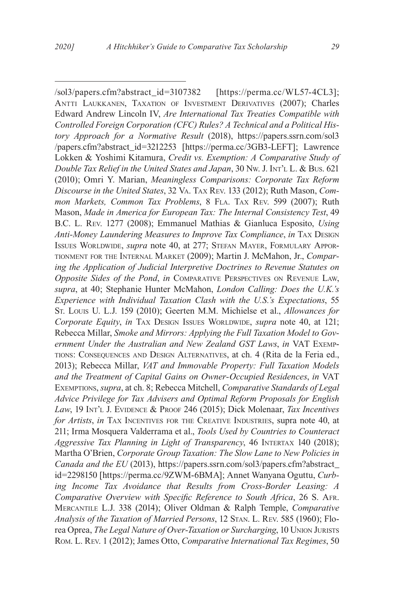/sol3/papers.cfm?abstract\_id=3107382 [https://perma.cc/WL57-4CL3]; Antti Laukkanen, Taxation of Investment Derivatives (2007); Charles Edward Andrew Lincoln IV, *Are International Tax Treaties Compatible with Controlled Foreign Corporation (CFC) Rules? A Technical and a Political History Approach for a Normative Result* (2018), https://papers.ssrn.com/sol3 /papers.cfm?abstract\_id=3212253 [https://perma.cc/3GB3-LEFT]; Lawrence Lokken & Yoshimi Kitamura, *Credit vs. Exemption: A Comparative Study of Double Tax Relief in the United States and Japan*, 30 Nw. J. Int't L. & Bus. 621 (2010); Omri Y. Marian, *Meaningless Comparisons: Corporate Tax Reform Discourse in the United States*, 32 Va. Tax Rev. 133 (2012); Ruth Mason, *Com*mon Markets, Common Tax Problems, 8 FLA. TAX REV. 599 (2007); Ruth Mason, *Made in America for European Tax: The Internal Consistency Test*, 49 B.C. L. Rev. 1277 (2008); Emmanuel Mathias & Gianluca Esposito, *Using Anti-Money Laundering Measures to Improve Tax Compliance*, *in* Tax Design Issues Worldwide, *supra* note 40, at 277; Stefan Mayer, Formulary Apportionment for the Internal Market (2009); Martin J. McMahon, Jr., *Comparing the Application of Judicial Interpretive Doctrines to Revenue Statutes on Opposite Sides of the Pond*, *in* Comparative Perspectives on Revenue Law, *supra*, at 40; Stephanie Hunter McMahon, *London Calling: Does the U.K.'s Experience with Individual Taxation Clash with the U.S.'s Expectations*, 55 St. Louis U. L.J. 159 (2010); Geerten M.M. Michielse et al., *Allowances for Corporate Equity, in* TAX DESIGN ISSUES WORLDWIDE, *supra* note 40, at 121; Rebecca Millar, *Smoke and Mirrors: Applying the Full Taxation Model to Government Under the Australian and New Zealand GST Laws*, *in* VAT Exemptions: Consequences and Design Alternatives, at ch. 4 (Rita de la Feria ed., 2013); Rebecca Millar, *VAT and Immovable Property: Full Taxation Models and the Treatment of Capital Gains on Owner-Occupied Residences*, *in* VAT Exemptions, *supra*, at ch. 8; Rebecca Mitchell, *Comparative Standards of Legal Advice Privilege for Tax Advisers and Optimal Reform Proposals for English Law*, 19 Int'l J. Evidence & Proof 246 (2015); Dick Molenaar, *Tax Incentives for Artists, in* TAX INCENTIVES FOR THE CREATIVE INDUSTRIES, supra note 40, at 211; Irma Mosquera Valderrama et al., *Tools Used by Countries to Counteract Aggressive Tax Planning in Light of Transparency*, 46 Intertax 140 (2018); Martha O'Brien, *Corporate Group Taxation: The Slow Lane to New Policies in Canada and the EU* (2013), https://papers.ssrn.com/sol3/papers.cfm?abstract\_ id=2298150 [https://perma.cc/9ZWM-6BMA]; Annet Wanyana Oguttu, *Curbing Income Tax Avoidance that Results from Cross-Border Leasing: A Comparative Overview with Specific Reference to South Africa*, 26 S. Afr. Mercantile L.J. 338 (2014); Oliver Oldman & Ralph Temple, *Comparative Analysis of the Taxation of Married Persons*, 12 Stan. L. Rev. 585 (1960); Florea Oprea, *The Legal Nature of Over-Taxation or Surcharging*, 10 Union Jurists Rom. L. Rev. 1 (2012); James Otto, *Comparative International Tax Regimes*, 50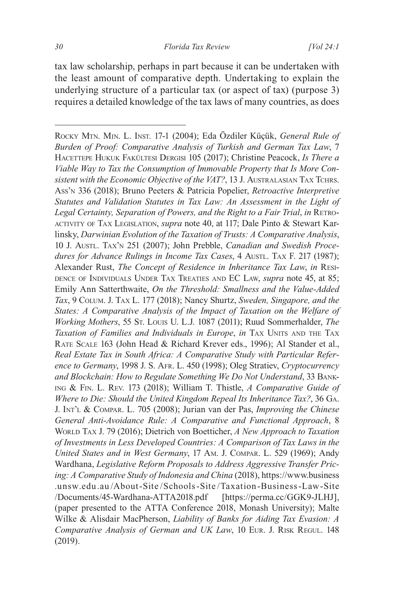tax law scholarship, perhaps in part because it can be undertaken with the least amount of comparative depth. Undertaking to explain the underlying structure of a particular tax (or aspect of tax) (purpose 3) requires a detailed knowledge of the tax laws of many countries, as does

Rocky Mtn. Min. L. Inst. 17-1 (2004); Eda Özdiler Küçük, *General Rule of Burden of Proof: Comparative Analysis of Turkish and German Tax Law*, 7 HACETTEPE HUKUK FAKÜLTESI DERGISI 105 (2017); Christine Peacock, *Is There a Viable Way to Tax the Consumption of Immovable Property that Is More Consistent with the Economic Objective of the VAT?*, 13 J. AUSTRALASIAN TAX TCHRS. Ass'n 336 (2018); Bruno Peeters & Patricia Popelier, *Retroactive Interpretive Statutes and Validation Statutes in Tax Law: An Assessment in the Light of*  Legal Certainty, Separation of Powers, and the Right to a Fair Trial, in RETROactivity of Tax Legislation, *supra* note 40, at 117; Dale Pinto & Stewart Karlinsky, *Darwinian Evolution of the Taxation of Trusts: A Comparative Analysis*, 10 J. AustL. TAx'n 251 (2007); John Prebble, *Canadian and Swedish Procedures for Advance Rulings in Income Tax Cases, 4 AustL. TAX F. 217 (1987);* Alexander Rust, *The Concept of Residence in Inheritance Tax Law*, *in* Residence of Individuals Under Tax Treaties and EC Law, *supra* note 45, at 85; Emily Ann Satterthwaite, *On the Threshold: Smallness and the Value-Added Tax*, 9 Colum. J. Tax L. 177 (2018); Nancy Shurtz, *Sweden, Singapore, and the States: A Comparative Analysis of the Impact of Taxation on the Welfare of Working Mothers*, 55 St. Louis U. L.J. 1087 (2011); Ruud Sommerhalder, *The Taxation of Families and Individuals in Europe, in TAX UNITS AND THE TAX* Rate Scale 163 (John Head & Richard Krever eds., 1996); Al Stander et al., *Real Estate Tax in South Africa: A Comparative Study with Particular Reference to Germany*, 1998 J. S. Afr. L. 450 (1998); Oleg Stratiev, *Cryptocurrency and Blockchain: How to Regulate Something We Do Not Understand*, 33 Banking & Fin. L. Rev. 173 (2018); William T. Thistle, *A Comparative Guide of Where to Die: Should the United Kingdom Repeal Its Inheritance Tax?*, 36 Ga. J. Int'l & Compar. L. 705 (2008); Jurian van der Pas, *Improving the Chinese General Anti-Avoidance Rule: A Comparative and Functional Approach*, 8 World Tax J. 79 (2016); Dietrich von Boetticher, *A New Approach to Taxation of Investments in Less Developed Countries: A Comparison of Tax Laws in the United States and in West Germany*, 17 Am. J. Compar. L. 529 (1969); Andy Wardhana, *Legislative Reform Proposals to Address Aggressive Transfer Pricing: A Comparative Study of Indonesia and China* (2018), https://www.business .unsw.edu .au /About-Site /Schools-Site /Taxation -Business-Law-Site /Documents/45-Wardhana-ATTA2018.pdf [https://perma.cc/GGK9-JLHJ], (paper presented to the ATTA Conference 2018, Monash University); Malte Wilke & Alisdair MacPherson, *Liability of Banks for Aiding Tax Evasion: A Comparative Analysis of German and UK Law*, 10 Eur. J. Risk Regul. 148 (2019).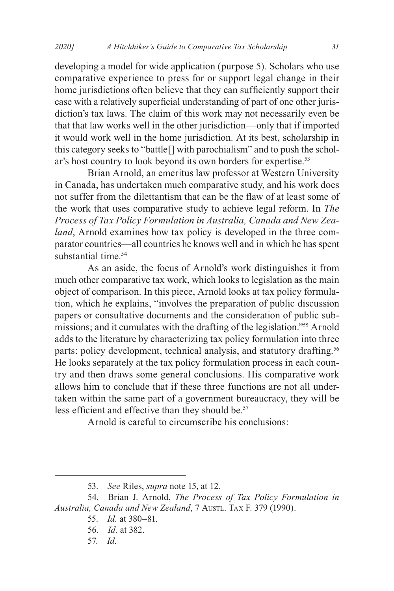developing a model for wide application (purpose 5). Scholars who use comparative experience to press for or support legal change in their home jurisdictions often believe that they can sufficiently support their case with a relatively superficial understanding of part of one other jurisdiction's tax laws. The claim of this work may not necessarily even be that that law works well in the other jurisdiction—only that if imported it would work well in the home jurisdiction. At its best, scholarship in this category seeks to "battle[] with parochialism" and to push the scholar's host country to look beyond its own borders for expertise.<sup>53</sup>

Brian Arnold, an emeritus law professor at Western University in Canada, has undertaken much comparative study, and his work does not suffer from the dilettantism that can be the flaw of at least some of the work that uses comparative study to achieve legal reform. In *The Process of Tax Policy Formulation in Australia, Canada and New Zealand*, Arnold examines how tax policy is developed in the three comparator countries—all countries he knows well and in which he has spent substantial time.<sup>54</sup>

As an aside, the focus of Arnold's work distinguishes it from much other comparative tax work, which looks to legislation as the main object of comparison. In this piece, Arnold looks at tax policy formulation, which he explains, "involves the preparation of public discussion papers or consultative documents and the consideration of public submissions; and it cumulates with the drafting of the legislation."55 Arnold adds to the literature by characterizing tax policy formulation into three parts: policy development, technical analysis, and statutory drafting.<sup>56</sup> He looks separately at the tax policy formulation process in each country and then draws some general conclusions. His comparative work allows him to conclude that if these three functions are not all undertaken within the same part of a government bureaucracy, they will be less efficient and effective than they should be.<sup>57</sup>

Arnold is careful to circumscribe his conclusions:

<sup>53.</sup> *See* Riles, *supra* note 15, at 12.

<sup>54.</sup> Brian J. Arnold, *The Process of Tax Policy Formulation in*  Australia, Canada and New Zealand, 7 Austl. TAX F. 379 (1990).

<sup>55.</sup> *Id.* at 380–81.

<sup>56.</sup> *Id.* at 382.

<sup>57.</sup> *Id.*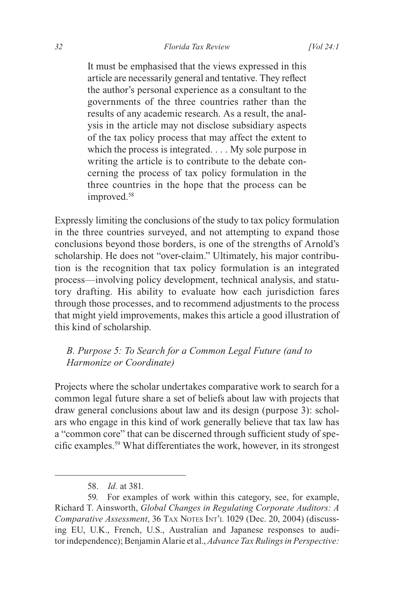It must be emphasised that the views expressed in this article are necessarily general and tentative. They reflect the author's personal experience as a consultant to the governments of the three countries rather than the results of any academic research. As a result, the analysis in the article may not disclose subsidiary aspects of the tax policy process that may affect the extent to which the process is integrated. . . . My sole purpose in writing the article is to contribute to the debate concerning the process of tax policy formulation in the three countries in the hope that the process can be improved.<sup>58</sup>

Expressly limiting the conclusions of the study to tax policy formulation in the three countries surveyed, and not attempting to expand those conclusions beyond those borders, is one of the strengths of Arnold's scholarship. He does not "over-claim." Ultimately, his major contribution is the recognition that tax policy formulation is an integrated process—involving policy development, technical analysis, and statutory drafting. His ability to evaluate how each jurisdiction fares through those processes, and to recommend adjustments to the process that might yield improvements, makes this article a good illustration of this kind of scholarship.

#### *B. Purpose 5: To Search for a Common Legal Future (and to Harmonize or Coordinate)*

Projects where the scholar undertakes comparative work to search for a common legal future share a set of beliefs about law with projects that draw general conclusions about law and its design (purpose 3): scholars who engage in this kind of work generally believe that tax law has a "common core" that can be discerned through sufficient study of specific examples.59 What differentiates the work, however, in its strongest

<sup>58.</sup> *Id.* at 381.

<sup>59.</sup> For examples of work within this category, see, for example, Richard T. Ainsworth, *Global Changes in Regulating Corporate Auditors: A Comparative Assessment*, 36 TAX NOTES INT'L 1029 (Dec. 20, 2004) (discussing EU, U.K., French, U.S., Australian and Japanese responses to auditor independence); Benjamin Alarie et al., *Advance Tax Rulings in Perspective*: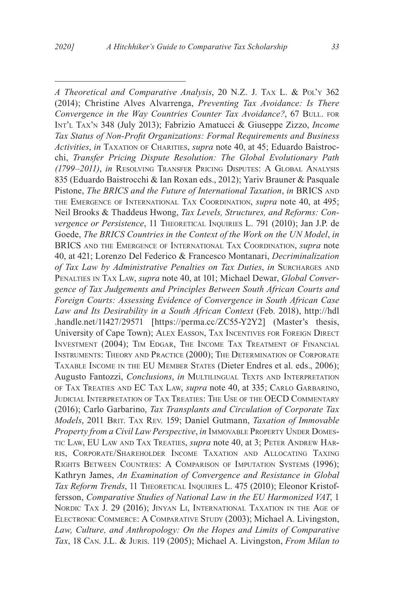*A Theoretical and Comparative Analysis*, 20 N.Z. J. Tax L. & Pol'y 362 (2014); Christine Alves Alvarrenga, *Preventing Tax Avoidance: Is There Convergence in the Way Countries Counter Tax Avoidance?*, 67 BULL. FOR Int'l Tax'n 348 (July 2013); Fabrizio Amatucci & Giuseppe Zizzo, *Income Tax Status of Non-Profit Organizations: Formal Requirements and Business*  Activities, in TAXATION OF CHARITIES, *supra* note 40, at 45; Eduardo Baistrocchi, *Transfer Pricing Dispute Resolution: The Global Evolutionary Path (1799–2011)*, *in* Resolving Transfer Pricing Disputes: A Global Analysis 835 (Eduardo Baistrocchi & Ian Roxan eds., 2012); Yariv Brauner & Pasquale Pistone, *The BRICS and the Future of International Taxation*, *in* BRICS AND the Emergence of International Tax Coordination, *supra* note 40, at 495; Neil Brooks & Thaddeus Hwong, *Tax Levels, Structures, and Reforms: Convergence or Persistence*, 11 THEORETICAL INQUIRIES L. 791 (2010); Jan J.P. de Goede, *The BRICS Countries in the Context of the Work on the UN Model*, *in* BRICS and the Emergence of International Tax Coordination, *supra* note 40, at 421; Lorenzo Del Federico & Francesco Montanari, *Decriminalization of Tax Law by Administrative Penalties on Tax Duties*, *in* Surcharges and Penalties in Tax Law, *supra* note 40, at 101; Michael Dewar, *Global Convergence of Tax Judgements and Principles Between South African Courts and Foreign Courts: Assessing Evidence of Convergence in South African Case Law and Its Desirability in a South African Context* (Feb. 2018), http://hdl .handle.net/11427/29571 [https://perma.cc/ZC55-Y2Y2] (Master's thesis, University of Cape Town); Alex Easson, Tax Incentives for Foreign Direct Investment (2004); Tim Edgar, The Income Tax Treatment of Financial Instruments: Theory and Practice (2000); The Determination of Corporate Taxable Income in the EU Member States (Dieter Endres et al. eds., 2006); Augusto Fantozzi, *Conclusions*, *in* MULTILINGUAL TEXTS AND INTERPRETATION of Tax Treaties and EC Tax Law, *supra* note 40, at 335; Carlo Garbarino, Judicial Interpretation of Tax Treaties: The Use of the OECD Commentary (2016); Carlo Garbarino, *Tax Transplants and Circulation of Corporate Tax Models*, 2011 Brit. Tax Rev. 159; Daniel Gutmann, *Taxation of Immovable*  Property from a Civil Law Perspective, in IMMOVABLE PROPERTY UNDER DOMEStic Law, EU Law and Tax Treaties, *supra* note 40, at 3; Peter Andrew Harris, Corporate/Shareholder Income Taxation and Allocating Taxing RIGHTS BETWEEN COUNTRIES: A COMPARISON OF IMPUTATION SYSTEMS (1996); Kathryn James, *An Examination of Convergence and Resistance in Global*  Tax Reform Trends, 11 THEORETICAL INQUIRIES L. 475 (2010); Eleonor Kristoffersson, *Comparative Studies of National Law in the EU Harmonized VAT*, 1 NORDIC TAX J. 29 (2016); JINYAN LI, INTERNATIONAL TAXATION IN THE AGE OF Electronic Commerce: A Comparative Study (2003); Michael A. Livingston, Law, Culture, and Anthropology: On the Hopes and Limits of Comparative *Tax*, 18 Can. J.L. & Juris. 119 (2005); Michael A. Livingston, *From Milan to*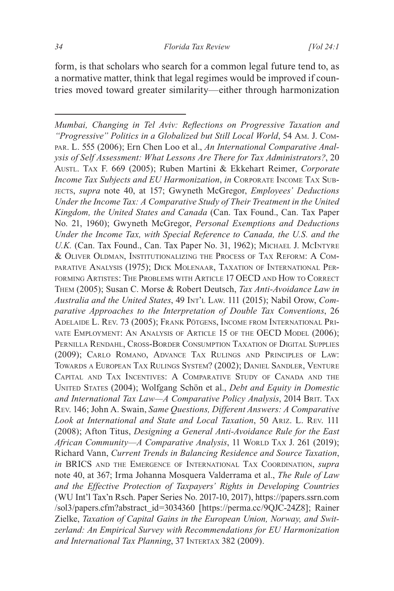form, is that scholars who search for a common legal future tend to, as a normative matter, think that legal regimes would be improved if countries moved toward greater similarity—either through harmonization

*Mumbai, Changing in Tel Aviv: Reflections on Progressive Taxation and "Progressive" Politics in a Globalized but Still Local World*, 54 Am. J. Compar. L. 555 (2006); Ern Chen Loo et al., *An International Comparative Analysis of Self Assessment: What Lessons Are There for Tax Administrators?*, 20 Austl. Tax F. 669 (2005); Ruben Martini & Ekkehart Reimer, *Corporate Income Tax Subjects and EU Harmonization*, *in* Corporate Income Tax Subjects, *supra* note 40, at 157; Gwyneth McGregor, *Employees' Deductions Under the Income Tax: A Comparative Study of Their Treatment in the United Kingdom, the United States and Canada* (Can. Tax Found., Can. Tax Paper No. 21, 1960); Gwyneth McGregor, *Personal Exemptions and Deductions Under the Income Tax, with Special Reference to Canada, the U.S. and the*  U.K. (Can. Tax Found., Can. Tax Paper No. 31, 1962); MICHAEL J. MCINTYRE & Oliver Oldman, Institutionalizing the Process of Tax Reform: A Comparative Analysis (1975); Dick Molenaar, Taxation of International Performing Artistes: The Problems with Article 17 OECD and How to Correct Them (2005); Susan C. Morse & Robert Deutsch, *Tax Anti-Avoidance Law in Australia and the United States*, 49 Int'l Law. 111 (2015); Nabil Orow, *Comparative Approaches to the Interpretation of Double Tax Conventions*, 26 Adelaide L. Rev. 73 (2005); Frank Pötgens, Income from International Private Employment: An Analysis of Article 15 of the OECD Model (2006); Pernilla Rendahl, Cross-Border Consumption Taxation of Digital Supplies (2009); Carlo Romano, Advance Tax Rulings and Principles of Law: Towards <sup>a</sup> European Tax Rulings System? (2002); Daniel Sandler, Venture Capital and Tax Incentives: A Comparative Study of Canada and the United States (2004); Wolfgang Schön et al., *Debt and Equity in Domestic*  and International Tax Law—A Comparative Policy Analysis, 2014 BRIT. TAX Rev. 146; John A. Swain, *Same Questions, Different Answers: A Comparative Look at International and State and Local Taxation*, 50 Ariz. L. Rev. 111 (2008); Afton Titus, *Designing a General Anti-Avoidance Rule for the East*  African Community-A Comparative Analysis, 11 WORLD TAX J. 261 (2019); Richard Vann, *Current Trends in Balancing Residence and Source Taxation*, *in* BRICS and the Emergence of International Tax Coordination, *supra* note 40, at 367; Irma Johanna Mosquera Valderrama et al., *The Rule of Law and the Effective Protection of Taxpayers' Rights in Developing Countries* (WU Int'l Tax'n Rsch. Paper Series No. 2017-10, 2017), https://papers.ssrn.com /sol3/papers.cfm?abstract\_id=3034360 [https://perma.cc/9QJC-24Z8]; Rainer Zielke, *Taxation of Capital Gains in the European Union, Norway, and Switzerland: An Empirical Survey with Recommendations for EU Harmonization and International Tax Planning*, 37 Intertax 382 (2009).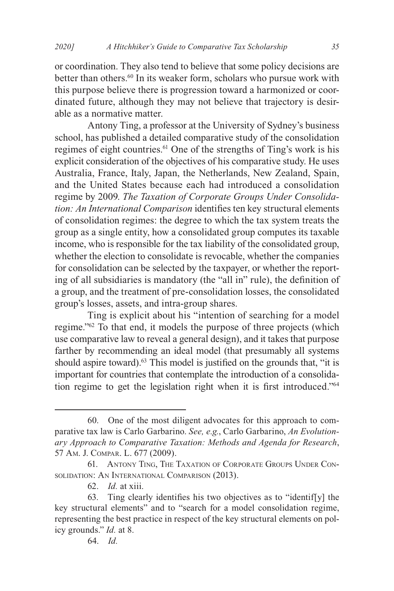or coordination. They also tend to believe that some policy decisions are better than others.<sup>60</sup> In its weaker form, scholars who pursue work with this purpose believe there is progression toward a harmonized or coordinated future, although they may not believe that trajectory is desirable as a normative matter.

Antony Ting, a professor at the University of Sydney's business school, has published a detailed comparative study of the consolidation regimes of eight countries.<sup>61</sup> One of the strengths of Ting's work is his explicit consideration of the objectives of his comparative study. He uses Australia, France, Italy, Japan, the Netherlands, New Zealand, Spain, and the United States because each had introduced a consolidation regime by 2009. *The Taxation of Corporate Groups Under Consolidation: An International Comparison* identifies ten key structural elements of consolidation regimes: the degree to which the tax system treats the group as a single entity, how a consolidated group computes its taxable income, who is responsible for the tax liability of the consolidated group, whether the election to consolidate is revocable, whether the companies for consolidation can be selected by the taxpayer, or whether the reporting of all subsidiaries is mandatory (the "all in" rule), the definition of a group, and the treatment of pre-consolidation losses, the consolidated group's losses, assets, and intra-group shares.

Ting is explicit about his "intention of searching for a model regime."62 To that end, it models the purpose of three projects (which use comparative law to reveal a general design), and it takes that purpose farther by recommending an ideal model (that presumably all systems should aspire toward).<sup>63</sup> This model is justified on the grounds that, "it is important for countries that contemplate the introduction of a consolidation regime to get the legislation right when it is first introduced."64

<sup>60.</sup> One of the most diligent advocates for this approach to comparative tax law is Carlo Garbarino. *See, e.g.*, Carlo Garbarino, *An Evolutionary Approach to Comparative Taxation: Methods and Agenda for Research*, 57 Am. J. Compar. L. 677 (2009).

<sup>61.</sup> Antony Ting, The Taxation of Corporate Groups Under Consolidation: An International Comparison (2013).

<sup>62.</sup> *Id.* at xiii.

<sup>63.</sup> Ting clearly identifies his two objectives as to "identif[y] the key structural elements" and to "search for a model consolidation regime, representing the best practice in respect of the key structural elements on policy grounds." *Id.* at 8.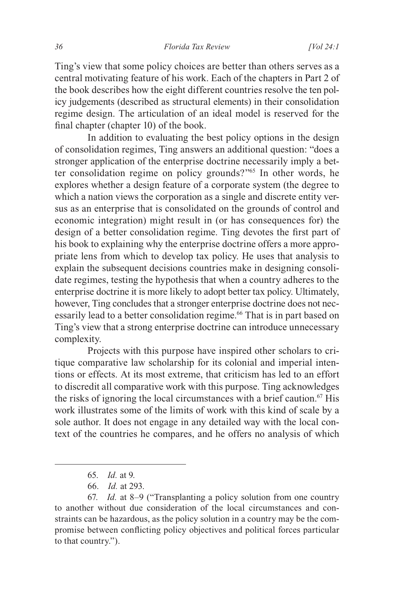Ting's view that some policy choices are better than others serves as a central motivating feature of his work. Each of the chapters in Part 2 of the book describes how the eight different countries resolve the ten policy judgements (described as structural elements) in their consolidation regime design. The articulation of an ideal model is reserved for the final chapter (chapter 10) of the book.

In addition to evaluating the best policy options in the design of consolidation regimes, Ting answers an additional question: "does a stronger application of the enterprise doctrine necessarily imply a better consolidation regime on policy grounds?"65 In other words, he explores whether a design feature of a corporate system (the degree to which a nation views the corporation as a single and discrete entity versus as an enterprise that is consolidated on the grounds of control and economic integration) might result in (or has consequences for) the design of a better consolidation regime. Ting devotes the first part of his book to explaining why the enterprise doctrine offers a more appropriate lens from which to develop tax policy. He uses that analysis to explain the subsequent decisions countries make in designing consolidate regimes, testing the hypothesis that when a country adheres to the enterprise doctrine it is more likely to adopt better tax policy. Ultimately, however, Ting concludes that a stronger enterprise doctrine does not necessarily lead to a better consolidation regime.<sup>66</sup> That is in part based on Ting's view that a strong enterprise doctrine can introduce unnecessary complexity.

Projects with this purpose have inspired other scholars to critique comparative law scholarship for its colonial and imperial intentions or effects. At its most extreme, that criticism has led to an effort to discredit all comparative work with this purpose. Ting acknowledges the risks of ignoring the local circumstances with a brief caution.<sup>67</sup> His work illustrates some of the limits of work with this kind of scale by a sole author. It does not engage in any detailed way with the local context of the countries he compares, and he offers no analysis of which

<sup>65.</sup> *Id.* at 9.

<sup>66.</sup> *Id.* at 293.

<sup>67.</sup> *Id.* at 8–9 ("Transplanting a policy solution from one country to another without due consideration of the local circumstances and constraints can be hazardous, as the policy solution in a country may be the compromise between conflicting policy objectives and political forces particular to that country.").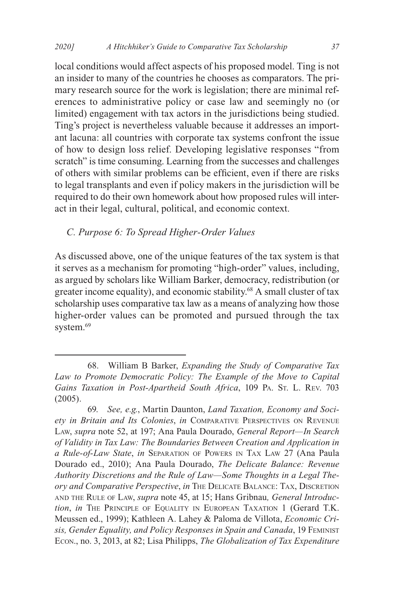local conditions would affect aspects of his proposed model. Ting is not an insider to many of the countries he chooses as comparators. The primary research source for the work is legislation; there are minimal references to administrative policy or case law and seemingly no (or limited) engagement with tax actors in the jurisdictions being studied. Ting's project is nevertheless valuable because it addresses an important lacuna: all countries with corporate tax systems confront the issue of how to design loss relief. Developing legislative responses "from scratch" is time consuming. Learning from the successes and challenges of others with similar problems can be efficient, even if there are risks to legal transplants and even if policy makers in the jurisdiction will be required to do their own homework about how proposed rules will interact in their legal, cultural, political, and economic context.

### *C. Purpose 6: To Spread Higher-Order Values*

As discussed above, one of the unique features of the tax system is that it serves as a mechanism for promoting "high-order" values, including, as argued by scholars like William Barker, democracy, redistribution (or greater income equality), and economic stability.<sup>68</sup> A small cluster of tax scholarship uses comparative tax law as a means of analyzing how those higher-order values can be promoted and pursued through the tax system.<sup>69</sup>

<sup>68.</sup> William B Barker, *Expanding the Study of Comparative Tax Law to Promote Democratic Policy: The Example of the Move to Capital*  Gains Taxation in Post-Apartheid South Africa, 109 PA. St. L. Rev. 703 (2005).

<sup>69.</sup> *See, e.g.*, Martin Daunton, *Land Taxation, Economy and Society in Britain and Its Colonies*, *in* Comparative Perspectives on Revenue Law, *supra* note 52, at 197; Ana Paula Dourado, *General Report—In Search of Validity in Tax Law: The Boundaries Between Creation and Application in a Rule-of-Law State*, *in* Separation of Powers in Tax Law 27 (Ana Paula Dourado ed., 2010); Ana Paula Dourado, *The Delicate Balance: Revenue Authority Discretions and the Rule of Law—Some Thoughts in a Legal Theory and Comparative Perspective*, *in* The Delicate Balance: Tax, Discretion and the Rule of Law, *supra* note 45, at 15; Hans Gribnau*, General Introduction*, *in* THE PRINCIPLE OF EQUALITY IN EUROPEAN TAXATION 1 (Gerard T.K. Meussen ed., 1999); Kathleen A. Lahey & Paloma de Villota, *Economic Crisis, Gender Equality, and Policy Responses in Spain and Canada*, 19 Feminist Econ., no. 3, 2013, at 82; Lisa Philipps, *The Globalization of Tax Expenditure*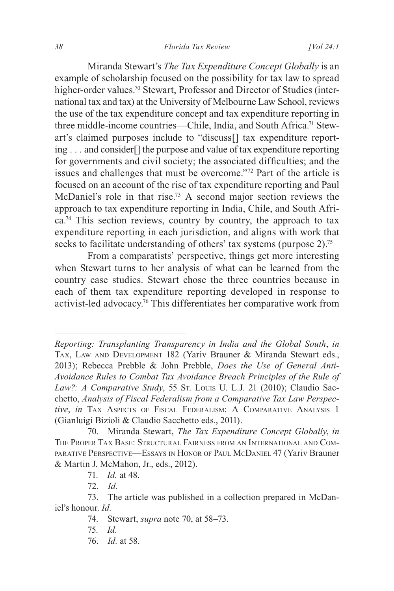#### *38 Florida Tax Review [Vol 24:1*

Miranda Stewart's *The Tax Expenditure Concept Globally* is an example of scholarship focused on the possibility for tax law to spread higher-order values.<sup>70</sup> Stewart, Professor and Director of Studies (international tax and tax) at the University of Melbourne Law School, reviews the use of the tax expenditure concept and tax expenditure reporting in three middle-income countries—Chile, India, and South Africa.<sup>71</sup> Stewart's claimed purposes include to "discuss[] tax expenditure reporting . . . and consider[] the purpose and value of tax expenditure reporting for governments and civil society; the associated difficulties; and the issues and challenges that must be overcome."72 Part of the article is focused on an account of the rise of tax expenditure reporting and Paul McDaniel's role in that rise.73 A second major section reviews the approach to tax expenditure reporting in India, Chile, and South Africa.74 This section reviews, country by country, the approach to tax expenditure reporting in each jurisdiction, and aligns with work that seeks to facilitate understanding of others' tax systems (purpose 2).<sup>75</sup>

From a comparatists' perspective, things get more interesting when Stewart turns to her analysis of what can be learned from the country case studies. Stewart chose the three countries because in each of them tax expenditure reporting developed in response to activist-led advocacy.76 This differentiates her comparative work from

74. Stewart, *supra* note 70, at 58–73.

76. *Id.* at 58.

*Reporting: Transplanting Transparency in India and the Global South*, *in* Tax, Law and Development 182 (Yariv Brauner & Miranda Stewart eds., 2013); Rebecca Prebble & John Prebble, *Does the Use of General Anti-Avoidance Rules to Combat Tax Avoidance Breach Principles of the Rule of*  Law?: A Comparative Study, 55 St. Louis U. L.J. 21 (2010); Claudio Sacchetto, *Analysis of Fiscal Federalism from a Comparative Tax Law Perspective*, *in* Tax Aspects of Fiscal Federalism: A Comparative Analysis 1 (Gianluigi Bizioli & Claudio Sacchetto eds., 2011).

<sup>70.</sup> Miranda Stewart, *The Tax Expenditure Concept Globally*, *in* The Proper Tax Base: Structural Fairness from an International and Comparative Perspective—Essays in Honor of Paul McDaniel 47 (Yariv Brauner & Martin J. McMahon, Jr., eds., 2012).

<sup>71.</sup> *Id.* at 48.

<sup>72.</sup> *Id.*

<sup>73.</sup> The article was published in a collection prepared in McDaniel's honour. *Id.*

<sup>75.</sup> *Id.*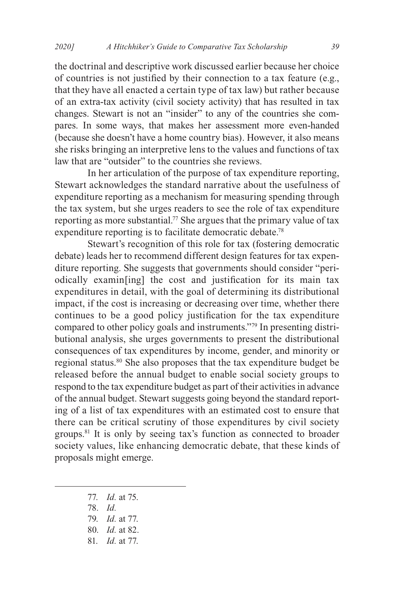the doctrinal and descriptive work discussed earlier because her choice of countries is not justified by their connection to a tax feature (e.g., that they have all enacted a certain type of tax law) but rather because of an extra-tax activity (civil society activity) that has resulted in tax changes. Stewart is not an "insider" to any of the countries she compares. In some ways, that makes her assessment more even-handed (because she doesn't have a home country bias). However, it also means she risks bringing an interpretive lens to the values and functions of tax law that are "outsider" to the countries she reviews.

In her articulation of the purpose of tax expenditure reporting, Stewart acknowledges the standard narrative about the usefulness of expenditure reporting as a mechanism for measuring spending through the tax system, but she urges readers to see the role of tax expenditure reporting as more substantial.<sup>77</sup> She argues that the primary value of tax expenditure reporting is to facilitate democratic debate.<sup>78</sup>

Stewart's recognition of this role for tax (fostering democratic debate) leads her to recommend different design features for tax expenditure reporting. She suggests that governments should consider "periodically examin[ing] the cost and justification for its main tax expenditures in detail, with the goal of determining its distributional impact, if the cost is increasing or decreasing over time, whether there continues to be a good policy justification for the tax expenditure compared to other policy goals and instruments."79 In presenting distributional analysis, she urges governments to present the distributional consequences of tax expenditures by income, gender, and minority or regional status.80 She also proposes that the tax expenditure budget be released before the annual budget to enable social society groups to respond to the tax expenditure budget as part of their activities in advance of the annual budget. Stewart suggests going beyond the standard reporting of a list of tax expenditures with an estimated cost to ensure that there can be critical scrutiny of those expenditures by civil society groups.81 It is only by seeing tax's function as connected to broader society values, like enhancing democratic debate, that these kinds of proposals might emerge.

- 77. *Id.* at 75.
- 78. *Id.*
- 79. *Id.* at 77.
- 80. *Id.* at 82.
- 81. *Id.* at 77.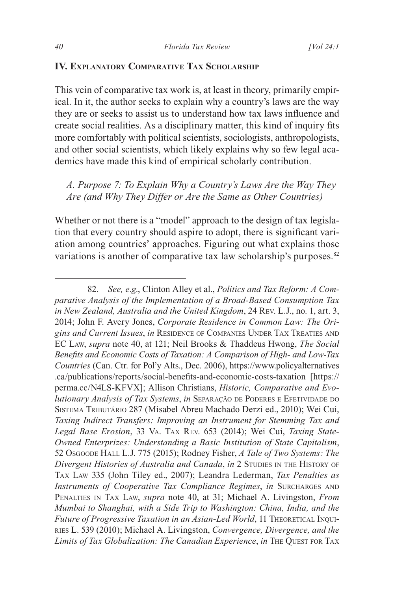#### **IV. Explanatory Comparative Tax Scholarship**

This vein of comparative tax work is, at least in theory, primarily empirical. In it, the author seeks to explain why a country's laws are the way they are or seeks to assist us to understand how tax laws influence and create social realities. As a disciplinary matter, this kind of inquiry fits more comfortably with political scientists, sociologists, anthropologists, and other social scientists, which likely explains why so few legal academics have made this kind of empirical scholarly contribution.

*A. Purpose 7: To Explain Why a Country's Laws Are the Way They Are (and Why They Differ or Are the Same as Other Countries)*

Whether or not there is a "model" approach to the design of tax legislation that every country should aspire to adopt, there is significant variation among countries' approaches. Figuring out what explains those variations is another of comparative tax law scholarship's purposes. $82$ 

<sup>82.</sup> *See, e.g*., Clinton Alley et al., *Politics and Tax Reform: A Comparative Analysis of the Implementation of a Broad-Based Consumption Tax in New Zealand, Australia and the United Kingdom*, 24 Rev. L.J., no. 1, art. 3, 2014; John F. Avery Jones, *Corporate Residence in Common Law: The Origins and Current Issues*, *in* Residence of Companies Under Tax Treaties and EC Law, *supra* note 40, at 121; Neil Brooks & Thaddeus Hwong, *The Social Benefits and Economic Costs of Taxation: A Comparison of High- and Low-Tax Countries* (Can. Ctr. for Pol'y Alts., Dec. 2006), https://www.policyalternatives .ca/publications/reports/social-benefits-and-economic-costs-taxation [https:// perma.cc/N4LS-KFVX]; Allison Christians, *Historic, Comparative and Evolutionary Analysis of Tax Systems, in SEPARAÇÃO DE PODERES E EFETIVIDADE DO* Sistema Tributário 287 (Misabel Abreu Machado Derzi ed., 2010); Wei Cui, *Taxing Indirect Transfers: Improving an Instrument for Stemming Tax and Legal Base Erosion*, 33 Va. Tax Rev. 653 (2014); Wei Cui, *Taxing State-Owned Enterprizes: Understanding a Basic Institution of State Capitalism*, 52 Osgoode Hall L.J. 775 (2015); Rodney Fisher, *A Tale of Two Systems: The Divergent Histories of Australia and Canada, in* 2 STUDIES IN THE HISTORY OF Tax Law 335 (John Tiley ed., 2007); Leandra Lederman, *Tax Penalties as Instruments of Cooperative Tax Compliance Regimes, in SURCHARGES AND* Penalties in Tax Law, *supra* note 40, at 31; Michael A. Livingston, *From Mumbai to Shanghai, with a Side Trip to Washington: China, India, and the Future of Progressive Taxation in an Asian-Led World*, 11 THEORETICAL INQUIries L. 539 (2010); Michael A. Livingston, *Convergence, Divergence, and the Limits of Tax Globalization: The Canadian Experience*, *in* The Quest for Tax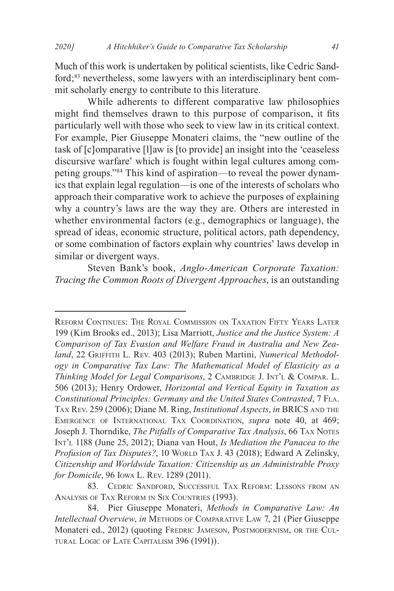Much of this work is undertaken by political scientists, like Cedric Sandford;83 nevertheless, some lawyers with an interdisciplinary bent commit scholarly energy to contribute to this literature.

While adherents to different comparative law philosophies might find themselves drawn to this purpose of comparison, it fits particularly well with those who seek to view law in its critical context. For example, Pier Giuseppe Monateri claims, the "new outline of the task of [c]omparative [l]aw is [to provide] an insight into the 'ceaseless discursive warfare' which is fought within legal cultures among competing groups."84 This kind of aspiration—to reveal the power dynamics that explain legal regulation—is one of the interests of scholars who approach their comparative work to achieve the purposes of explaining why a country's laws are the way they are. Others are interested in whether environmental factors (e.g., demographics or language), the spread of ideas, economic structure, political actors, path dependency, or some combination of factors explain why countries' laws develop in similar or divergent ways.

Steven Bank's book, *Anglo-American Corporate Taxation: Tracing the Common Roots of Divergent Approaches*, is an outstanding

83. Cedric Sandford, Successful Tax Reform: Lessons from an Analysis of Tax Reform in Six Countries (1993).

Reform Continues: The Royal Commission on Taxation Fifty Years Later 199 (Kim Brooks ed., 2013); Lisa Marriott, *Justice and the Justice System: A Comparison of Tax Evasion and Welfare Fraud in Australia and New Zea*land, 22 GRIFFITH L. REV. 403 (2013); Ruben Martini, *Numerical Methodology in Comparative Tax Law: The Mathematical Model of Elasticity as a Thinking Model for Legal Comparisons*, 2 Cambridge J. Int'l & Compar. L. 506 (2013); Henry Ordower, *Horizontal and Vertical Equity in Taxation as Constitutional Principles: Germany and the United States Contrasted*, 7 Fla. Tax Rev. 259 (2006); Diane M. Ring, *Institutional Aspects*, *in* BRICS and the Emergence of International Tax Coordination, *supra* note 40, at 469; Joseph J. Thorndike, *The Pitfalls of Comparative Tax Analysis*, 66 Tax Notes Int'l 1188 (June 25, 2012); Diana van Hout, *Is Mediation the Panacea to the*  Profusion of Tax Disputes?, 10 WORLD TAX J. 43 (2018); Edward A Zelinsky, *Citizenship and Worldwide Taxation: Citizenship as an Administrable Proxy for Domicile*, 96 Iowa L. Rev. 1289 (2011).

<sup>84.</sup> Pier Giuseppe Monateri, *Methods in Comparative Law: An Intellectual Overview*, *in* Methods of Comparative Law 7, 21 (Pier Giuseppe Monateri ed., 2012) (quoting Fredric Jameson, Postmodernism, or the Cultural Logic of Late Capitalism 396 (1991)).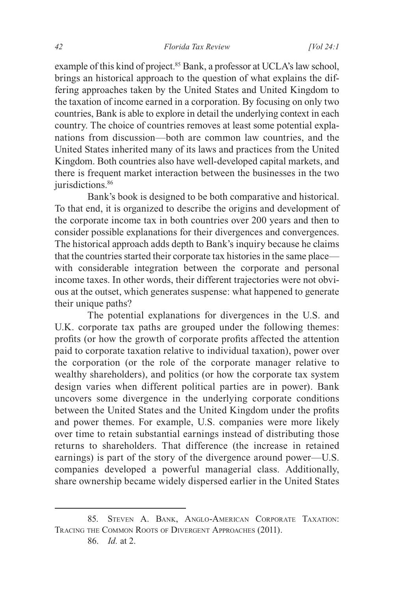example of this kind of project.<sup>85</sup> Bank, a professor at UCLA's law school, brings an historical approach to the question of what explains the differing approaches taken by the United States and United Kingdom to the taxation of income earned in a corporation. By focusing on only two countries, Bank is able to explore in detail the underlying context in each country. The choice of countries removes at least some potential explanations from discussion—both are common law countries, and the United States inherited many of its laws and practices from the United Kingdom. Both countries also have well-developed capital markets, and there is frequent market interaction between the businesses in the two jurisdictions.<sup>86</sup>

Bank's book is designed to be both comparative and historical. To that end, it is organized to describe the origins and development of the corporate income tax in both countries over 200 years and then to consider possible explanations for their divergences and convergences. The historical approach adds depth to Bank's inquiry because he claims that the countries started their corporate tax histories in the same place with considerable integration between the corporate and personal income taxes. In other words, their different trajectories were not obvious at the outset, which generates suspense: what happened to generate their unique paths?

The potential explanations for divergences in the U.S. and U.K. corporate tax paths are grouped under the following themes: profits (or how the growth of corporate profits affected the attention paid to corporate taxation relative to individual taxation), power over the corporation (or the role of the corporate manager relative to wealthy shareholders), and politics (or how the corporate tax system design varies when different political parties are in power). Bank uncovers some divergence in the underlying corporate conditions between the United States and the United Kingdom under the profits and power themes. For example, U.S. companies were more likely over time to retain substantial earnings instead of distributing those returns to shareholders. That difference (the increase in retained earnings) is part of the story of the divergence around power—U.S. companies developed a powerful managerial class. Additionally, share ownership became widely dispersed earlier in the United States

<sup>85.</sup> Steven A. Bank, Anglo-American Corporate Taxation: Tracing the Common Roots of Divergent Approaches (2011).

<sup>86.</sup> *Id.* at 2.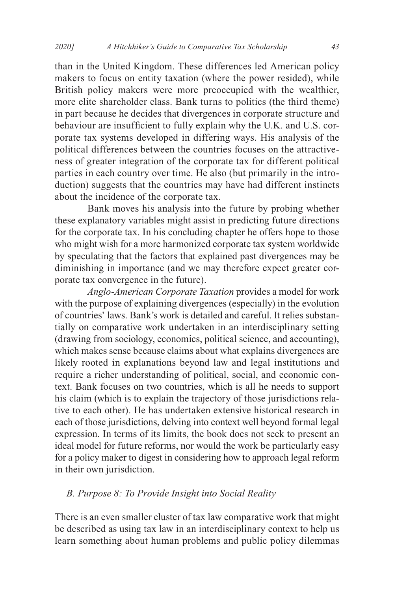than in the United Kingdom. These differences led American policy makers to focus on entity taxation (where the power resided), while British policy makers were more preoccupied with the wealthier, more elite shareholder class. Bank turns to politics (the third theme) in part because he decides that divergences in corporate structure and behaviour are insufficient to fully explain why the U.K. and U.S. corporate tax systems developed in differing ways. His analysis of the political differences between the countries focuses on the attractiveness of greater integration of the corporate tax for different political parties in each country over time. He also (but primarily in the introduction) suggests that the countries may have had different instincts about the incidence of the corporate tax.

Bank moves his analysis into the future by probing whether these explanatory variables might assist in predicting future directions for the corporate tax. In his concluding chapter he offers hope to those who might wish for a more harmonized corporate tax system worldwide by speculating that the factors that explained past divergences may be diminishing in importance (and we may therefore expect greater corporate tax convergence in the future).

*Anglo-American Corporate Taxation* provides a model for work with the purpose of explaining divergences (especially) in the evolution of countries' laws. Bank's work is detailed and careful. It relies substantially on comparative work undertaken in an interdisciplinary setting (drawing from sociology, economics, political science, and accounting), which makes sense because claims about what explains divergences are likely rooted in explanations beyond law and legal institutions and require a richer understanding of political, social, and economic context. Bank focuses on two countries, which is all he needs to support his claim (which is to explain the trajectory of those jurisdictions relative to each other). He has undertaken extensive historical research in each of those jurisdictions, delving into context well beyond formal legal expression. In terms of its limits, the book does not seek to present an ideal model for future reforms, nor would the work be particularly easy for a policy maker to digest in considering how to approach legal reform in their own jurisdiction.

#### *B. Purpose 8: To Provide Insight into Social Reality*

There is an even smaller cluster of tax law comparative work that might be described as using tax law in an interdisciplinary context to help us learn something about human problems and public policy dilemmas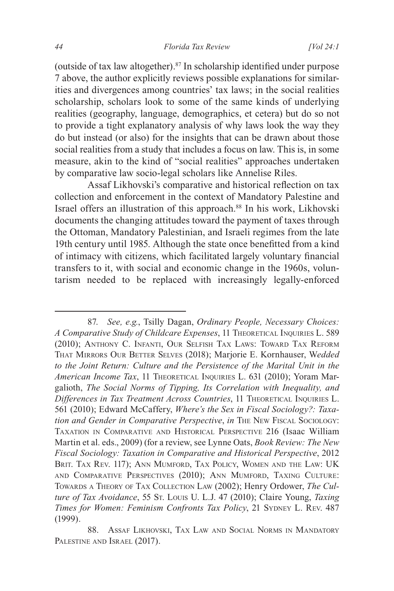(outside of tax law altogether).87 In scholarship identified under purpose 7 above, the author explicitly reviews possible explanations for similarities and divergences among countries' tax laws; in the social realities scholarship, scholars look to some of the same kinds of underlying realities (geography, language, demographics, et cetera) but do so not to provide a tight explanatory analysis of why laws look the way they do but instead (or also) for the insights that can be drawn about those social realities from a study that includes a focus on law. This is, in some measure, akin to the kind of "social realities" approaches undertaken by comparative law socio-legal scholars like Annelise Riles.

Assaf Likhovski's comparative and historical reflection on tax collection and enforcement in the context of Mandatory Palestine and Israel offers an illustration of this approach.88 In his work, Likhovski documents the changing attitudes toward the payment of taxes through the Ottoman, Mandatory Palestinian, and Israeli regimes from the late 19th century until 1985. Although the state once benefitted from a kind of intimacy with citizens, which facilitated largely voluntary financial transfers to it, with social and economic change in the 1960s, voluntarism needed to be replaced with increasingly legally-enforced

<sup>87.</sup> *See, e.g.*, Tsilly Dagan, *Ordinary People, Necessary Choices: A Comparative Study of Childcare Expenses*, 11 Theoretical Inquiries L. 589 (2010); Anthony C. Infanti, Our Selfish Tax Laws: Toward Tax Reform That Mirrors Our Better Selves (2018); Marjorie E. Kornhauser, W*edded to the Joint Return: Culture and the Persistence of the Marital Unit in the*  American Income Tax, 11 THEORETICAL INQUIRIES L. 631 (2010); Yoram Margalioth, *The Social Norms of Tipping, Its Correlation with Inequality, and Differences in Tax Treatment Across Countries*, 11 THEORETICAL INQUIRIES L. 561 (2010); Edward McCaffery, *Where's the Sex in Fiscal Sociology?: Taxation and Gender in Comparative Perspective*, *in* The New Fiscal Sociology: Taxation in Comparative and Historical Perspective 216 (Isaac William Martin et al. eds., 2009) (for a review, see Lynne Oats, *Book Review: The New Fiscal Sociology: Taxation in Comparative and Historical Perspective*, 2012 BRIT. TAX REV. 117); ANN MUMFORD, TAX POLICY, WOMEN AND THE LAW: UK and Comparative Perspectives (2010); Ann Mumford, Taxing Culture: Towards <sup>a</sup> Theory of Tax Collection Law (2002); Henry Ordower, *The Culture of Tax Avoidance*, 55 St. Louis U. L.J. 47 (2010); Claire Young, *Taxing*  **Times for Women: Feminism Confronts Tax Policy, 21 SYDNEY L. REV. 487** (1999).

<sup>88.</sup> Assaf Likhovski, Tax Law and Social Norms in Mandatory PALESTINE AND ISRAEL (2017).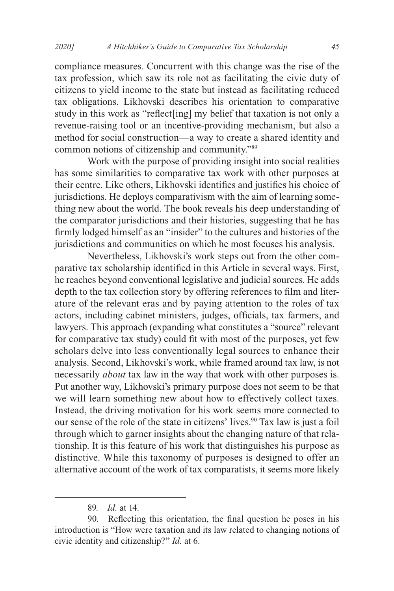compliance measures. Concurrent with this change was the rise of the tax profession, which saw its role not as facilitating the civic duty of citizens to yield income to the state but instead as facilitating reduced tax obligations. Likhovski describes his orientation to comparative study in this work as "reflect[ing] my belief that taxation is not only a revenue-raising tool or an incentive-providing mechanism, but also a method for social construction—a way to create a shared identity and common notions of citizenship and community."89

Work with the purpose of providing insight into social realities has some similarities to comparative tax work with other purposes at their centre. Like others, Likhovski identifies and justifies his choice of jurisdictions. He deploys comparativism with the aim of learning something new about the world. The book reveals his deep understanding of the comparator jurisdictions and their histories, suggesting that he has firmly lodged himself as an "insider" to the cultures and histories of the jurisdictions and communities on which he most focuses his analysis.

Nevertheless, Likhovski's work steps out from the other comparative tax scholarship identified in this Article in several ways. First, he reaches beyond conventional legislative and judicial sources. He adds depth to the tax collection story by offering references to film and literature of the relevant eras and by paying attention to the roles of tax actors, including cabinet ministers, judges, officials, tax farmers, and lawyers. This approach (expanding what constitutes a "source" relevant for comparative tax study) could fit with most of the purposes, yet few scholars delve into less conventionally legal sources to enhance their analysis. Second, Likhovski's work, while framed around tax law, is not necessarily *about* tax law in the way that work with other purposes is. Put another way, Likhovski's primary purpose does not seem to be that we will learn something new about how to effectively collect taxes. Instead, the driving motivation for his work seems more connected to our sense of the role of the state in citizens' lives.<sup>90</sup> Tax law is just a foil through which to garner insights about the changing nature of that relationship. It is this feature of his work that distinguishes his purpose as distinctive. While this taxonomy of purposes is designed to offer an alternative account of the work of tax comparatists, it seems more likely

<sup>89.</sup> *Id.* at 14.

<sup>90.</sup> Reflecting this orientation, the final question he poses in his introduction is "How were taxation and its law related to changing notions of civic identity and citizenship?" *Id.* at 6.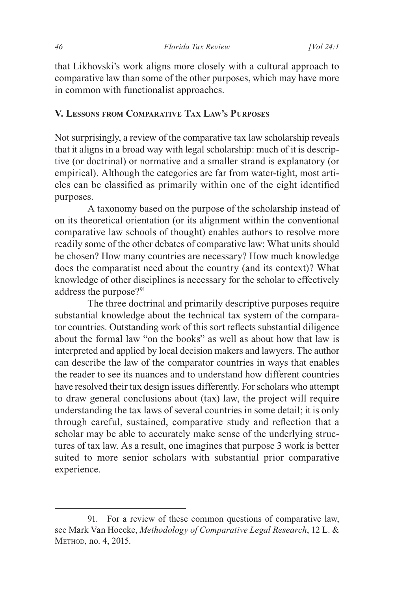that Likhovski's work aligns more closely with a cultural approach to comparative law than some of the other purposes, which may have more in common with functionalist approaches.

#### **V. Lessons from Comparative Tax Law's Purposes**

Not surprisingly, a review of the comparative tax law scholarship reveals that it aligns in a broad way with legal scholarship: much of it is descriptive (or doctrinal) or normative and a smaller strand is explanatory (or empirical). Although the categories are far from water-tight, most articles can be classified as primarily within one of the eight identified purposes.

A taxonomy based on the purpose of the scholarship instead of on its theoretical orientation (or its alignment within the conventional comparative law schools of thought) enables authors to resolve more readily some of the other debates of comparative law: What units should be chosen? How many countries are necessary? How much knowledge does the comparatist need about the country (and its context)? What knowledge of other disciplines is necessary for the scholar to effectively address the purpose?<sup>91</sup>

The three doctrinal and primarily descriptive purposes require substantial knowledge about the technical tax system of the comparator countries. Outstanding work of this sort reflects substantial diligence about the formal law "on the books" as well as about how that law is interpreted and applied by local decision makers and lawyers. The author can describe the law of the comparator countries in ways that enables the reader to see its nuances and to understand how different countries have resolved their tax design issues differently. For scholars who attempt to draw general conclusions about (tax) law, the project will require understanding the tax laws of several countries in some detail; it is only through careful, sustained, comparative study and reflection that a scholar may be able to accurately make sense of the underlying structures of tax law. As a result, one imagines that purpose 3 work is better suited to more senior scholars with substantial prior comparative experience.

<sup>91.</sup> For a review of these common questions of comparative law, see Mark Van Hoecke, *Methodology of Comparative Legal Research*, 12 L. & Method, no. 4, 2015.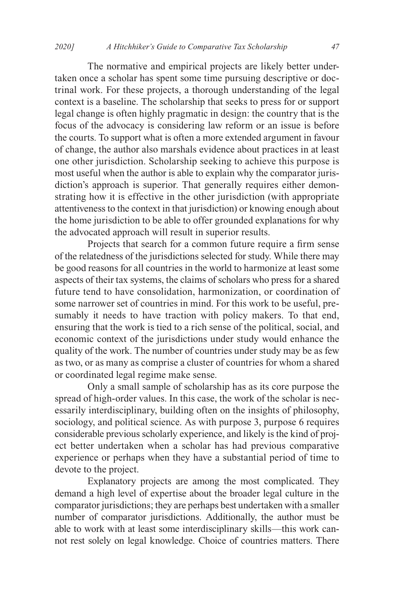The normative and empirical projects are likely better undertaken once a scholar has spent some time pursuing descriptive or doctrinal work. For these projects, a thorough understanding of the legal context is a baseline. The scholarship that seeks to press for or support legal change is often highly pragmatic in design: the country that is the focus of the advocacy is considering law reform or an issue is before the courts. To support what is often a more extended argument in favour of change, the author also marshals evidence about practices in at least one other jurisdiction. Scholarship seeking to achieve this purpose is most useful when the author is able to explain why the comparator jurisdiction's approach is superior. That generally requires either demonstrating how it is effective in the other jurisdiction (with appropriate attentiveness to the context in that jurisdiction) or knowing enough about the home jurisdiction to be able to offer grounded explanations for why the advocated approach will result in superior results.

Projects that search for a common future require a firm sense of the relatedness of the jurisdictions selected for study. While there may be good reasons for all countries in the world to harmonize at least some aspects of their tax systems, the claims of scholars who press for a shared future tend to have consolidation, harmonization, or coordination of some narrower set of countries in mind. For this work to be useful, presumably it needs to have traction with policy makers. To that end, ensuring that the work is tied to a rich sense of the political, social, and economic context of the jurisdictions under study would enhance the quality of the work. The number of countries under study may be as few as two, or as many as comprise a cluster of countries for whom a shared or coordinated legal regime make sense.

Only a small sample of scholarship has as its core purpose the spread of high-order values. In this case, the work of the scholar is necessarily interdisciplinary, building often on the insights of philosophy, sociology, and political science. As with purpose 3, purpose 6 requires considerable previous scholarly experience, and likely is the kind of project better undertaken when a scholar has had previous comparative experience or perhaps when they have a substantial period of time to devote to the project.

Explanatory projects are among the most complicated. They demand a high level of expertise about the broader legal culture in the comparator jurisdictions; they are perhaps best undertaken with a smaller number of comparator jurisdictions. Additionally, the author must be able to work with at least some interdisciplinary skills—this work cannot rest solely on legal knowledge. Choice of countries matters. There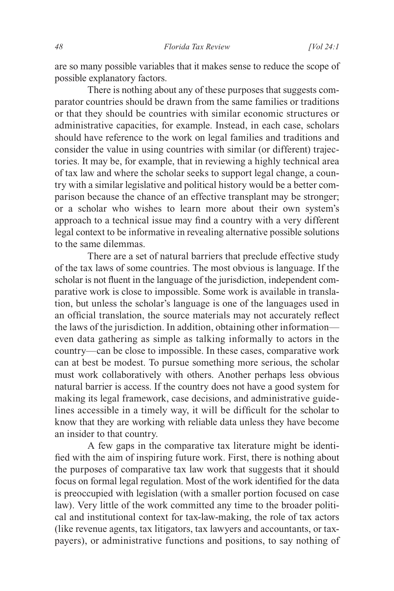are so many possible variables that it makes sense to reduce the scope of possible explanatory factors.

There is nothing about any of these purposes that suggests comparator countries should be drawn from the same families or traditions or that they should be countries with similar economic structures or administrative capacities, for example. Instead, in each case, scholars should have reference to the work on legal families and traditions and consider the value in using countries with similar (or different) trajectories. It may be, for example, that in reviewing a highly technical area of tax law and where the scholar seeks to support legal change, a country with a similar legislative and political history would be a better comparison because the chance of an effective transplant may be stronger; or a scholar who wishes to learn more about their own system's approach to a technical issue may find a country with a very different legal context to be informative in revealing alternative possible solutions to the same dilemmas.

There are a set of natural barriers that preclude effective study of the tax laws of some countries. The most obvious is language. If the scholar is not fluent in the language of the jurisdiction, independent comparative work is close to impossible. Some work is available in translation, but unless the scholar's language is one of the languages used in an official translation, the source materials may not accurately reflect the laws of the jurisdiction. In addition, obtaining other information even data gathering as simple as talking informally to actors in the country—can be close to impossible. In these cases, comparative work can at best be modest. To pursue something more serious, the scholar must work collaboratively with others. Another perhaps less obvious natural barrier is access. If the country does not have a good system for making its legal framework, case decisions, and administrative guidelines accessible in a timely way, it will be difficult for the scholar to know that they are working with reliable data unless they have become an insider to that country.

A few gaps in the comparative tax literature might be identified with the aim of inspiring future work. First, there is nothing about the purposes of comparative tax law work that suggests that it should focus on formal legal regulation. Most of the work identified for the data is preoccupied with legislation (with a smaller portion focused on case law). Very little of the work committed any time to the broader political and institutional context for tax-law-making, the role of tax actors (like revenue agents, tax litigators, tax lawyers and accountants, or taxpayers), or administrative functions and positions, to say nothing of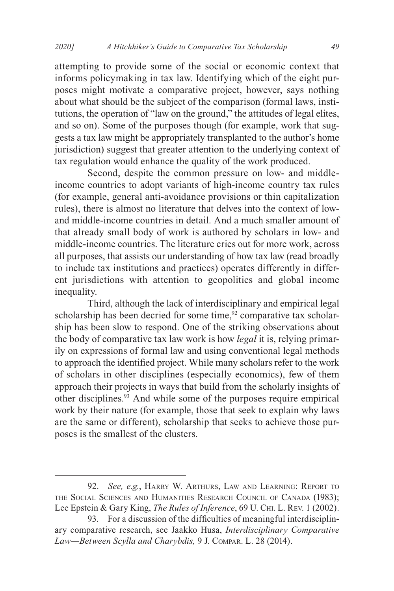attempting to provide some of the social or economic context that informs policymaking in tax law. Identifying which of the eight purposes might motivate a comparative project, however, says nothing about what should be the subject of the comparison (formal laws, institutions, the operation of "law on the ground," the attitudes of legal elites, and so on). Some of the purposes though (for example, work that suggests a tax law might be appropriately transplanted to the author's home jurisdiction) suggest that greater attention to the underlying context of tax regulation would enhance the quality of the work produced.

Second, despite the common pressure on low- and middleincome countries to adopt variants of high-income country tax rules (for example, general anti-avoidance provisions or thin capitalization rules), there is almost no literature that delves into the context of lowand middle-income countries in detail. And a much smaller amount of that already small body of work is authored by scholars in low- and middle-income countries. The literature cries out for more work, across all purposes, that assists our understanding of how tax law (read broadly to include tax institutions and practices) operates differently in different jurisdictions with attention to geopolitics and global income inequality.

Third, although the lack of interdisciplinary and empirical legal scholarship has been decried for some time, $92$  comparative tax scholarship has been slow to respond. One of the striking observations about the body of comparative tax law work is how *legal* it is, relying primarily on expressions of formal law and using conventional legal methods to approach the identified project. While many scholars refer to the work of scholars in other disciplines (especially economics), few of them approach their projects in ways that build from the scholarly insights of other disciplines.93 And while some of the purposes require empirical work by their nature (for example, those that seek to explain why laws are the same or different), scholarship that seeks to achieve those purposes is the smallest of the clusters.

<sup>92.</sup> *See, e.g.*, Harry W. Arthurs, Law and Learning: Report to the Social Sciences and Humanities Research Council of Canada (1983); Lee Epstein & Gary King, *The Rules of Inference*, 69 U. Chi. L. Rev. 1 (2002).

<sup>93.</sup> For a discussion of the difficulties of meaningful interdisciplinary comparative research, see Jaakko Husa, *Interdisciplinary Comparative Law—Between Scylla and Charybdis,* 9 J. Compar. L. 28 (2014).